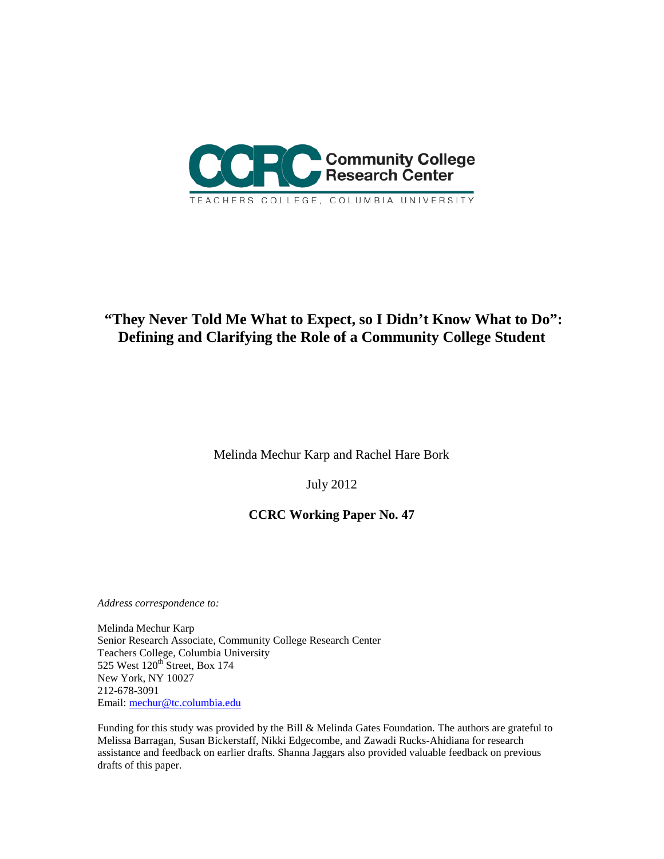

# **"They Never Told Me What to Expect, so I Didn't Know What to Do": Defining and Clarifying the Role of a Community College Student**

Melinda Mechur Karp and Rachel Hare Bork

July 2012

## **CCRC Working Paper No. 47**

*Address correspondence to:*

Melinda Mechur Karp Senior Research Associate, Community College Research Center Teachers College, Columbia University 525 West  $120<sup>th</sup>$  Street, Box 174 New York, NY 10027 212-678-3091 Email: [mechur@tc.columbia.edu](mailto:mechur@tc.columbia.edu)

Funding for this study was provided by the Bill & Melinda Gates Foundation. The authors are grateful to Melissa Barragan, Susan Bickerstaff, Nikki Edgecombe, and Zawadi Rucks-Ahidiana for research assistance and feedback on earlier drafts. Shanna Jaggars also provided valuable feedback on previous drafts of this paper.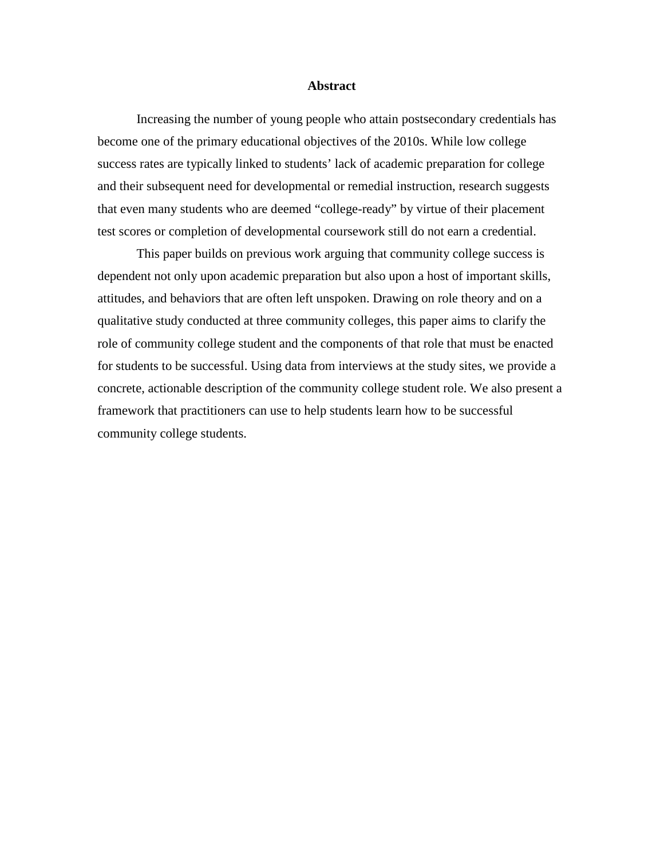#### **Abstract**

Increasing the number of young people who attain postsecondary credentials has become one of the primary educational objectives of the 2010s. While low college success rates are typically linked to students' lack of academic preparation for college and their subsequent need for developmental or remedial instruction, research suggests that even many students who are deemed "college-ready" by virtue of their placement test scores or completion of developmental coursework still do not earn a credential.

This paper builds on previous work arguing that community college success is dependent not only upon academic preparation but also upon a host of important skills, attitudes, and behaviors that are often left unspoken. Drawing on role theory and on a qualitative study conducted at three community colleges, this paper aims to clarify the role of community college student and the components of that role that must be enacted for students to be successful. Using data from interviews at the study sites, we provide a concrete, actionable description of the community college student role. We also present a framework that practitioners can use to help students learn how to be successful community college students.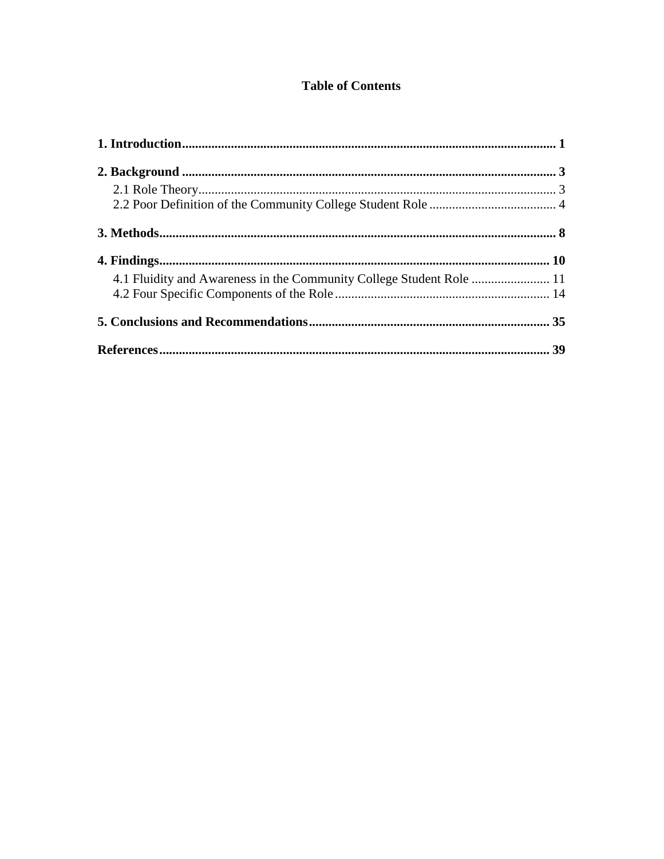## **Table of Contents**

| 4.1 Fluidity and Awareness in the Community College Student Role  11 |  |
|----------------------------------------------------------------------|--|
|                                                                      |  |
|                                                                      |  |
|                                                                      |  |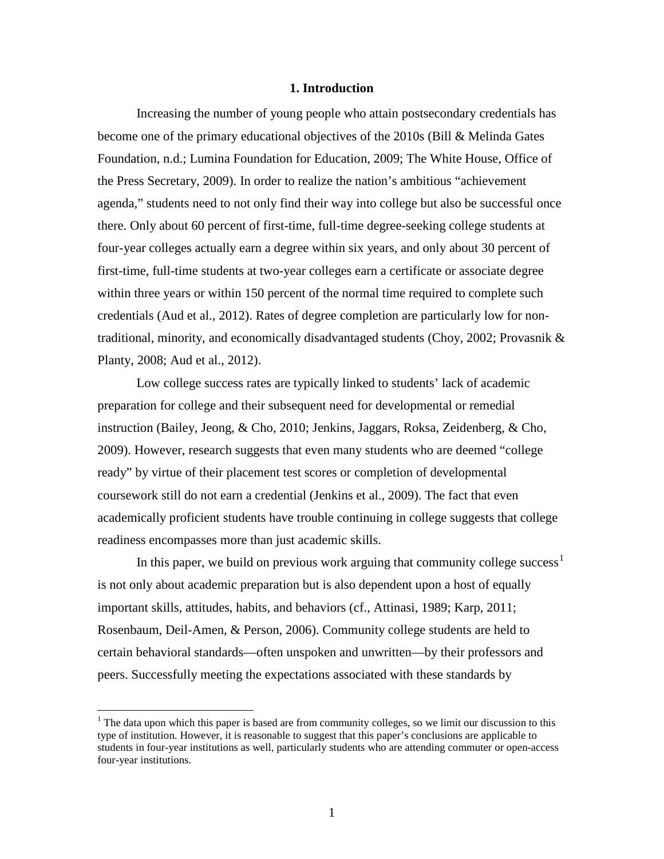### **1. Introduction**

<span id="page-4-0"></span>Increasing the number of young people who attain postsecondary credentials has become one of the primary educational objectives of the 2010s (Bill & Melinda Gates Foundation, n.d.; Lumina Foundation for Education, 2009; The White House, Office of the Press Secretary, 2009). In order to realize the nation's ambitious "achievement agenda," students need to not only find their way into college but also be successful once there. Only about 60 percent of first-time, full-time degree-seeking college students at four-year colleges actually earn a degree within six years, and only about 30 percent of first-time, full-time students at two-year colleges earn a certificate or associate degree within three years or within 150 percent of the normal time required to complete such credentials (Aud et al., 2012). Rates of degree completion are particularly low for nontraditional, minority, and economically disadvantaged students (Choy, 2002; Provasnik  $\&$ Planty, 2008; Aud et al., 2012).

Low college success rates are typically linked to students' lack of academic preparation for college and their subsequent need for developmental or remedial instruction (Bailey, Jeong, & Cho, 2010; Jenkins, Jaggars, Roksa, Zeidenberg, & Cho, 2009). However, research suggests that even many students who are deemed "college ready" by virtue of their placement test scores or completion of developmental coursework still do not earn a credential (Jenkins et al., 2009). The fact that even academically proficient students have trouble continuing in college suggests that college readiness encompasses more than just academic skills.

In this paper, we build on previous work arguing that community college success<sup>[1](#page-4-1)</sup> is not only about academic preparation but is also dependent upon a host of equally important skills, attitudes, habits, and behaviors (cf., Attinasi, 1989; Karp, 2011; Rosenbaum, Deil-Amen, & Person, 2006). Community college students are held to certain behavioral standards—often unspoken and unwritten—by their professors and peers. Successfully meeting the expectations associated with these standards by

<span id="page-4-1"></span> $<sup>1</sup>$  The data upon which this paper is based are from community colleges, so we limit our discussion to this</sup> type of institution. However, it is reasonable to suggest that this paper's conclusions are applicable to students in four-year institutions as well, particularly students who are attending commuter or open-access four-year institutions.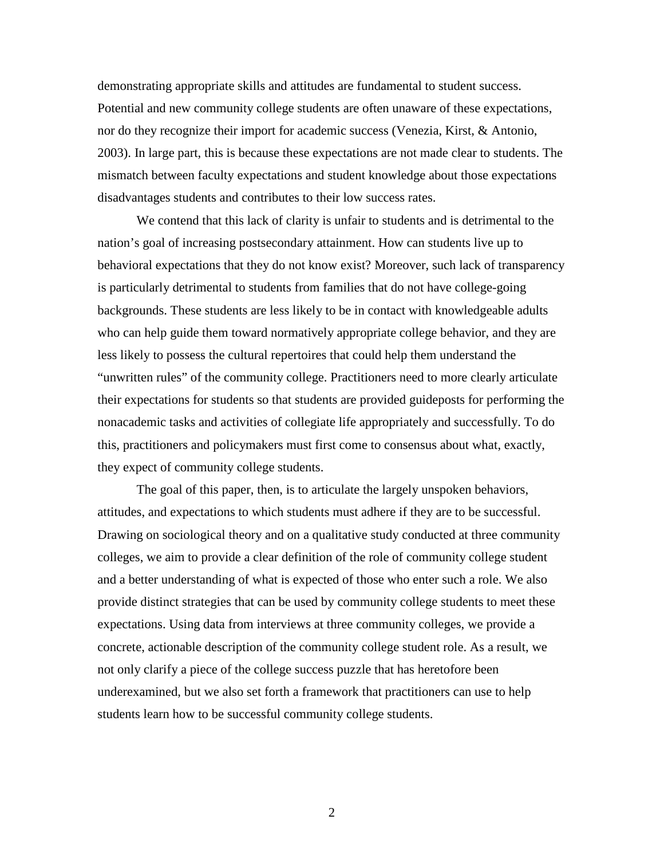demonstrating appropriate skills and attitudes are fundamental to student success. Potential and new community college students are often unaware of these expectations, nor do they recognize their import for academic success (Venezia, Kirst, & Antonio, 2003). In large part, this is because these expectations are not made clear to students. The mismatch between faculty expectations and student knowledge about those expectations disadvantages students and contributes to their low success rates.

We contend that this lack of clarity is unfair to students and is detrimental to the nation's goal of increasing postsecondary attainment. How can students live up to behavioral expectations that they do not know exist? Moreover, such lack of transparency is particularly detrimental to students from families that do not have college-going backgrounds. These students are less likely to be in contact with knowledgeable adults who can help guide them toward normatively appropriate college behavior, and they are less likely to possess the cultural repertoires that could help them understand the "unwritten rules" of the community college. Practitioners need to more clearly articulate their expectations for students so that students are provided guideposts for performing the nonacademic tasks and activities of collegiate life appropriately and successfully. To do this, practitioners and policymakers must first come to consensus about what, exactly, they expect of community college students.

<span id="page-5-0"></span>The goal of this paper, then, is to articulate the largely unspoken behaviors, attitudes, and expectations to which students must adhere if they are to be successful. Drawing on sociological theory and on a qualitative study conducted at three community colleges, we aim to provide a clear definition of the role of community college student and a better understanding of what is expected of those who enter such a role. We also provide distinct strategies that can be used by community college students to meet these expectations. Using data from interviews at three community colleges, we provide a concrete, actionable description of the community college student role. As a result, we not only clarify a piece of the college success puzzle that has heretofore been underexamined, but we also set forth a framework that practitioners can use to help students learn how to be successful community college students.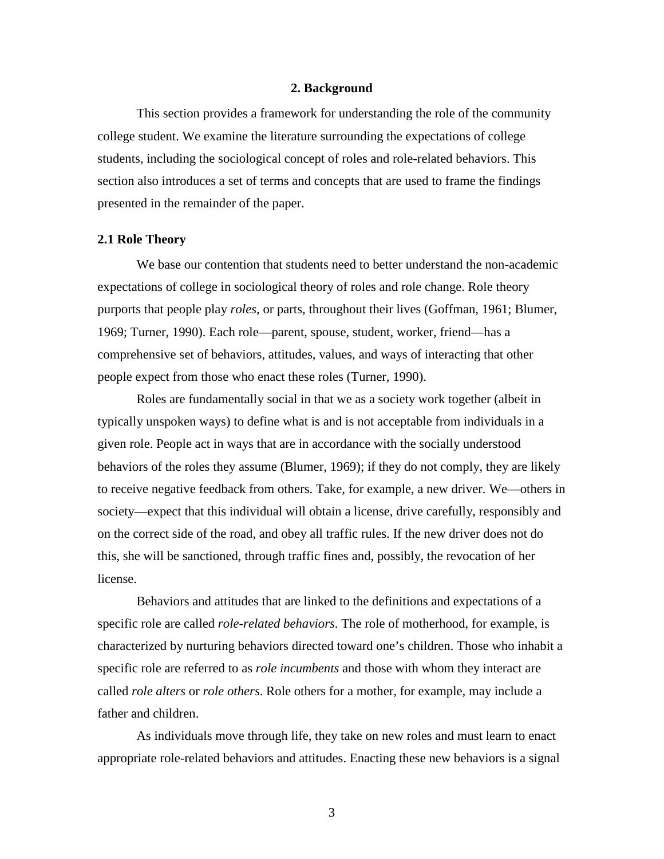### **2. Background**

This section provides a framework for understanding the role of the community college student. We examine the literature surrounding the expectations of college students, including the sociological concept of roles and role-related behaviors. This section also introduces a set of terms and concepts that are used to frame the findings presented in the remainder of the paper.

### <span id="page-6-0"></span>**2.1 Role Theory**

We base our contention that students need to better understand the non-academic expectations of college in sociological theory of roles and role change. Role theory purports that people play *roles*, or parts, throughout their lives (Goffman, 1961; Blumer, 1969; Turner, 1990). Each role—parent, spouse, student, worker, friend—has a comprehensive set of behaviors, attitudes, values, and ways of interacting that other people expect from those who enact these roles (Turner, 1990).

Roles are fundamentally social in that we as a society work together (albeit in typically unspoken ways) to define what is and is not acceptable from individuals in a given role. People act in ways that are in accordance with the socially understood behaviors of the roles they assume (Blumer, 1969); if they do not comply, they are likely to receive negative feedback from others. Take, for example, a new driver. We—others in society—expect that this individual will obtain a license, drive carefully, responsibly and on the correct side of the road, and obey all traffic rules. If the new driver does not do this, she will be sanctioned, through traffic fines and, possibly, the revocation of her license.

Behaviors and attitudes that are linked to the definitions and expectations of a specific role are called *role-related behaviors*. The role of motherhood, for example, is characterized by nurturing behaviors directed toward one's children. Those who inhabit a specific role are referred to as *role incumbents* and those with whom they interact are called *role alters* or *role others*. Role others for a mother, for example, may include a father and children.

As individuals move through life, they take on new roles and must learn to enact appropriate role-related behaviors and attitudes. Enacting these new behaviors is a signal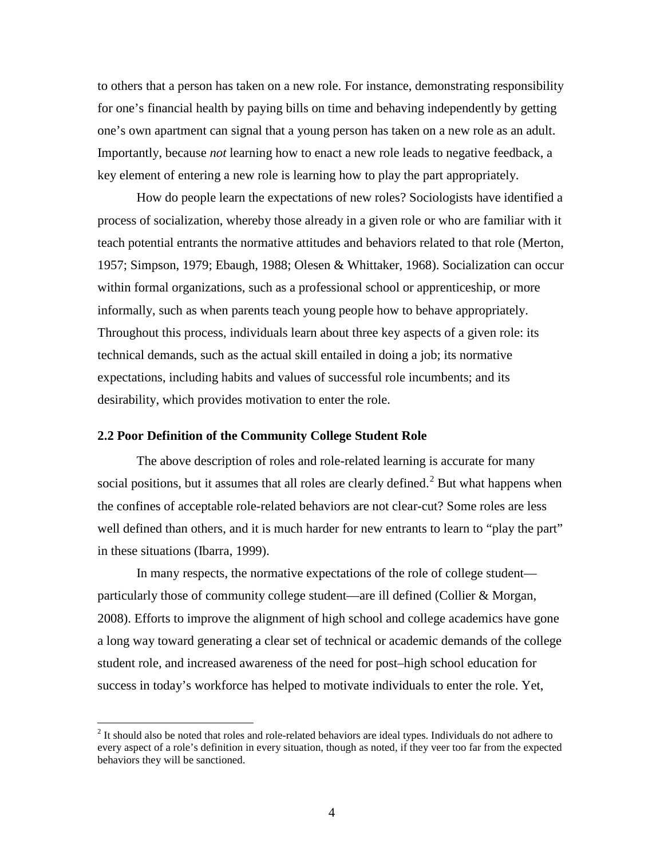to others that a person has taken on a new role. For instance, demonstrating responsibility for one's financial health by paying bills on time and behaving independently by getting one's own apartment can signal that a young person has taken on a new role as an adult. Importantly, because *not* learning how to enact a new role leads to negative feedback, a key element of entering a new role is learning how to play the part appropriately.

How do people learn the expectations of new roles? Sociologists have identified a process of socialization, whereby those already in a given role or who are familiar with it teach potential entrants the normative attitudes and behaviors related to that role (Merton, 1957; Simpson, 1979; Ebaugh, 1988; Olesen & Whittaker, 1968). Socialization can occur within formal organizations, such as a professional school or apprenticeship, or more informally, such as when parents teach young people how to behave appropriately. Throughout this process, individuals learn about three key aspects of a given role: its technical demands, such as the actual skill entailed in doing a job; its normative expectations, including habits and values of successful role incumbents; and its desirability, which provides motivation to enter the role.

### <span id="page-7-0"></span>**2.2 Poor Definition of the Community College Student Role**

The above description of roles and role-related learning is accurate for many social positions, but it assumes that all roles are clearly defined.<sup>[2](#page-7-1)</sup> But what happens when the confines of acceptable role-related behaviors are not clear-cut? Some roles are less well defined than others, and it is much harder for new entrants to learn to "play the part" in these situations (Ibarra, 1999).

In many respects, the normative expectations of the role of college student particularly those of community college student—are ill defined (Collier & Morgan, 2008). Efforts to improve the alignment of high school and college academics have gone a long way toward generating a clear set of technical or academic demands of the college student role, and increased awareness of the need for post–high school education for success in today's workforce has helped to motivate individuals to enter the role. Yet,

<span id="page-7-1"></span><sup>&</sup>lt;sup>2</sup> It should also be noted that roles and role-related behaviors are ideal types. Individuals do not adhere to every aspect of a role's definition in every situation, though as noted, if they veer too far from the expected behaviors they will be sanctioned.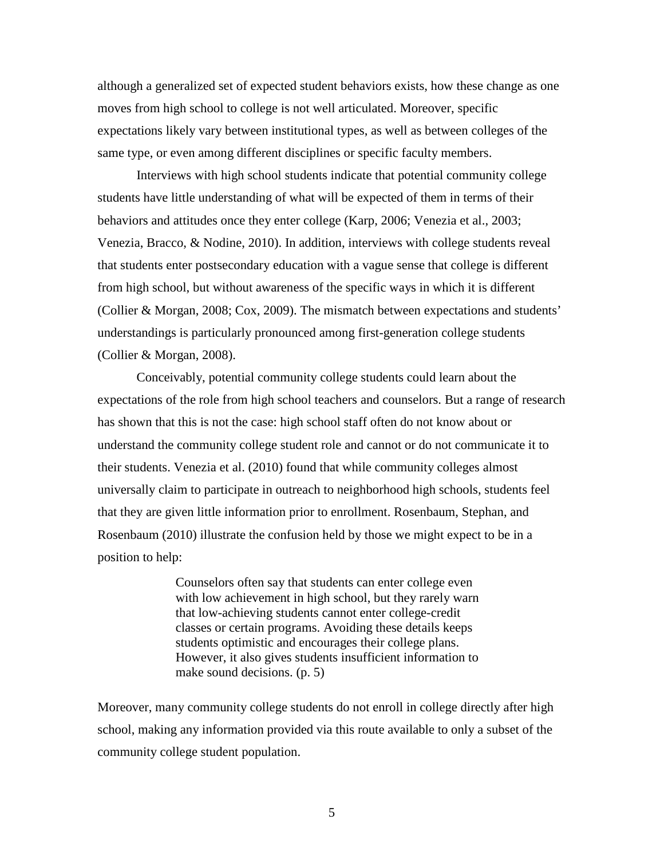although a generalized set of expected student behaviors exists, how these change as one moves from high school to college is not well articulated. Moreover, specific expectations likely vary between institutional types, as well as between colleges of the same type, or even among different disciplines or specific faculty members.

Interviews with high school students indicate that potential community college students have little understanding of what will be expected of them in terms of their behaviors and attitudes once they enter college (Karp, 2006; Venezia et al., 2003; Venezia, Bracco, & Nodine, 2010). In addition, interviews with college students reveal that students enter postsecondary education with a vague sense that college is different from high school, but without awareness of the specific ways in which it is different (Collier & Morgan, 2008; Cox, 2009). The mismatch between expectations and students' understandings is particularly pronounced among first-generation college students (Collier & Morgan, 2008).

Conceivably, potential community college students could learn about the expectations of the role from high school teachers and counselors. But a range of research has shown that this is not the case: high school staff often do not know about or understand the community college student role and cannot or do not communicate it to their students. Venezia et al. (2010) found that while community colleges almost universally claim to participate in outreach to neighborhood high schools, students feel that they are given little information prior to enrollment. Rosenbaum, Stephan, and Rosenbaum (2010) illustrate the confusion held by those we might expect to be in a position to help:

> Counselors often say that students can enter college even with low achievement in high school, but they rarely warn that low-achieving students cannot enter college-credit classes or certain programs. Avoiding these details keeps students optimistic and encourages their college plans. However, it also gives students insufficient information to make sound decisions. (p. 5)

Moreover, many community college students do not enroll in college directly after high school, making any information provided via this route available to only a subset of the community college student population.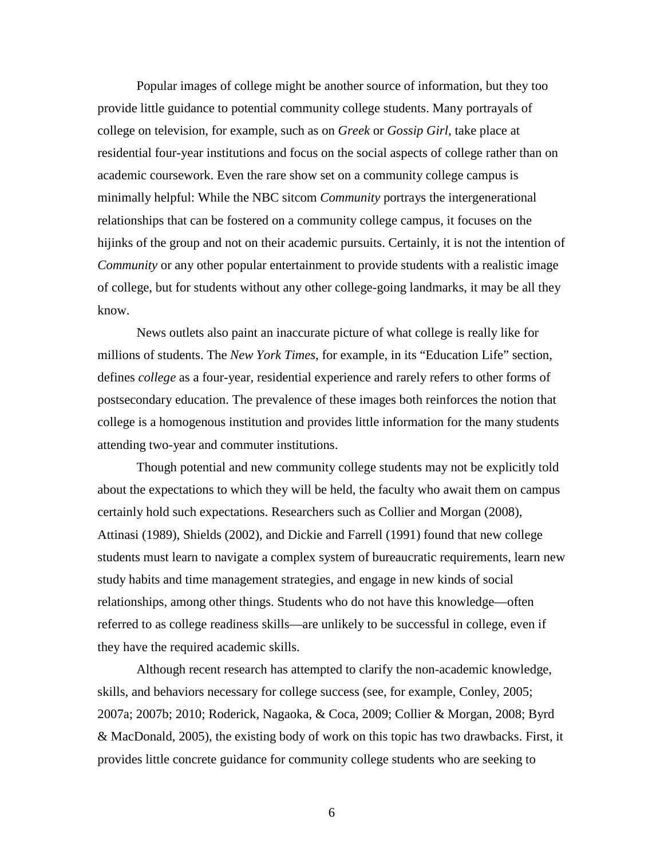Popular images of college might be another source of information, but they too provide little guidance to potential community college students. Many portrayals of college on television, for example, such as on *Greek* or *Gossip Girl*, take place at residential four-year institutions and focus on the social aspects of college rather than on academic coursework. Even the rare show set on a community college campus is minimally helpful: While the NBC sitcom *Community* portrays the intergenerational relationships that can be fostered on a community college campus, it focuses on the hijinks of the group and not on their academic pursuits. Certainly, it is not the intention of *Community* or any other popular entertainment to provide students with a realistic image of college, but for students without any other college-going landmarks, it may be all they know.

News outlets also paint an inaccurate picture of what college is really like for millions of students. The *New York Times,* for example, in its "Education Life" section, defines *college* as a four-year, residential experience and rarely refers to other forms of postsecondary education. The prevalence of these images both reinforces the notion that college is a homogenous institution and provides little information for the many students attending two-year and commuter institutions.

Though potential and new community college students may not be explicitly told about the expectations to which they will be held, the faculty who await them on campus certainly hold such expectations. Researchers such as Collier and Morgan (2008), Attinasi (1989), Shields (2002), and Dickie and Farrell (1991) found that new college students must learn to navigate a complex system of bureaucratic requirements, learn new study habits and time management strategies, and engage in new kinds of social relationships, among other things. Students who do not have this knowledge—often referred to as college readiness skills—are unlikely to be successful in college, even if they have the required academic skills.

Although recent research has attempted to clarify the non-academic knowledge, skills, and behaviors necessary for college success (see, for example, Conley, 2005; 2007a; 2007b; 2010; Roderick, Nagaoka, & Coca, 2009; Collier & Morgan, 2008; Byrd & MacDonald, 2005), the existing body of work on this topic has two drawbacks. First, it provides little concrete guidance for community college students who are seeking to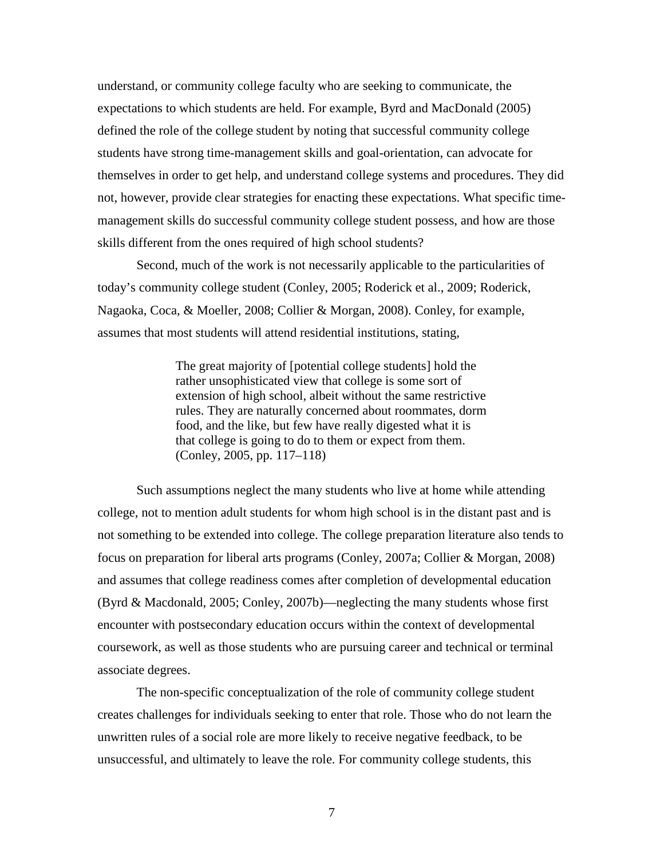understand, or community college faculty who are seeking to communicate, the expectations to which students are held. For example, Byrd and MacDonald (2005) defined the role of the college student by noting that successful community college students have strong time-management skills and goal-orientation, can advocate for themselves in order to get help, and understand college systems and procedures. They did not, however, provide clear strategies for enacting these expectations. What specific timemanagement skills do successful community college student possess, and how are those skills different from the ones required of high school students?

Second, much of the work is not necessarily applicable to the particularities of today's community college student (Conley, 2005; Roderick et al., 2009; Roderick, Nagaoka, Coca, & Moeller, 2008; Collier & Morgan, 2008). Conley, for example, assumes that most students will attend residential institutions, stating,

> The great majority of [potential college students] hold the rather unsophisticated view that college is some sort of extension of high school, albeit without the same restrictive rules. They are naturally concerned about roommates, dorm food, and the like, but few have really digested what it is that college is going to do to them or expect from them. (Conley, 2005, pp. 117–118)

Such assumptions neglect the many students who live at home while attending college, not to mention adult students for whom high school is in the distant past and is not something to be extended into college. The college preparation literature also tends to focus on preparation for liberal arts programs (Conley, 2007a; Collier & Morgan, 2008) and assumes that college readiness comes after completion of developmental education (Byrd & Macdonald, 2005; Conley, 2007b)—neglecting the many students whose first encounter with postsecondary education occurs within the context of developmental coursework, as well as those students who are pursuing career and technical or terminal associate degrees.

The non-specific conceptualization of the role of community college student creates challenges for individuals seeking to enter that role. Those who do not learn the unwritten rules of a social role are more likely to receive negative feedback, to be unsuccessful, and ultimately to leave the role. For community college students, this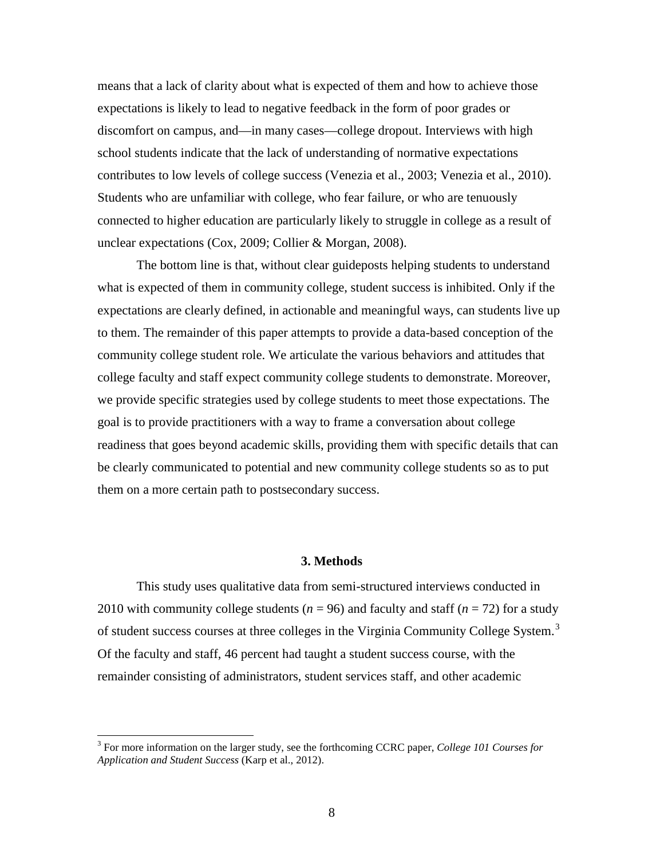means that a lack of clarity about what is expected of them and how to achieve those expectations is likely to lead to negative feedback in the form of poor grades or discomfort on campus, and—in many cases—college dropout. Interviews with high school students indicate that the lack of understanding of normative expectations contributes to low levels of college success (Venezia et al., 2003; Venezia et al., 2010). Students who are unfamiliar with college, who fear failure, or who are tenuously connected to higher education are particularly likely to struggle in college as a result of unclear expectations (Cox, 2009; Collier & Morgan, 2008).

The bottom line is that, without clear guideposts helping students to understand what is expected of them in community college, student success is inhibited. Only if the expectations are clearly defined, in actionable and meaningful ways, can students live up to them. The remainder of this paper attempts to provide a data-based conception of the community college student role. We articulate the various behaviors and attitudes that college faculty and staff expect community college students to demonstrate. Moreover, we provide specific strategies used by college students to meet those expectations. The goal is to provide practitioners with a way to frame a conversation about college readiness that goes beyond academic skills, providing them with specific details that can be clearly communicated to potential and new community college students so as to put them on a more certain path to postsecondary success.

#### **3. Methods**

<span id="page-11-0"></span>This study uses qualitative data from semi-structured interviews conducted in 2010 with community college students ( $n = 96$ ) and faculty and staff ( $n = 72$ ) for a study of student success courses at three colleges in the Virginia Community College System.<sup>[3](#page-11-1)</sup> Of the faculty and staff, 46 percent had taught a student success course, with the remainder consisting of administrators, student services staff, and other academic

<span id="page-11-1"></span><sup>3</sup> For more information on the larger study, see the forthcoming CCRC paper, *College 101 Courses for Application and Student Success* (Karp et al., 2012).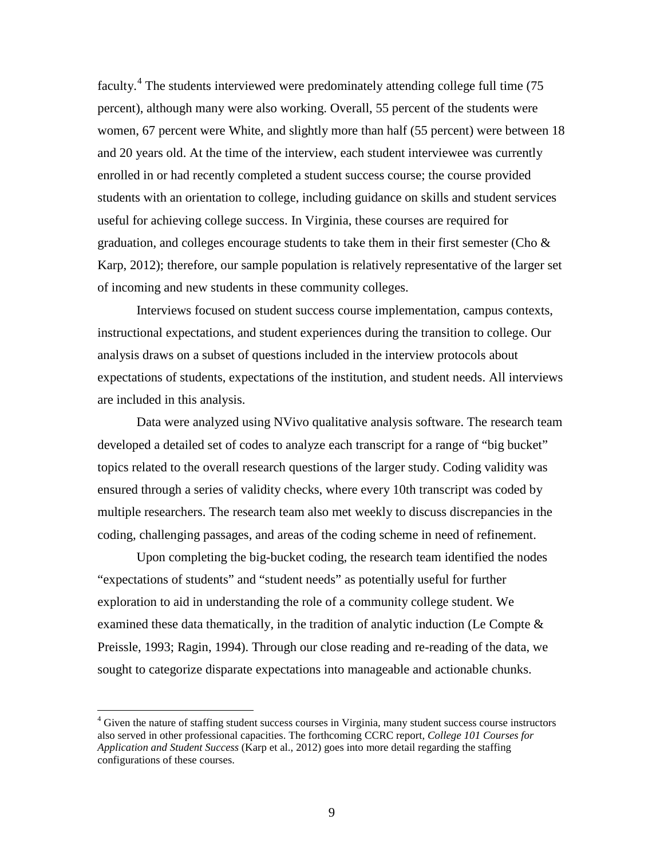faculty.<sup>[4](#page-12-0)</sup> The students interviewed were predominately attending college full time (75 percent), although many were also working. Overall, 55 percent of the students were women, 67 percent were White, and slightly more than half (55 percent) were between 18 and 20 years old. At the time of the interview, each student interviewee was currently enrolled in or had recently completed a student success course; the course provided students with an orientation to college, including guidance on skills and student services useful for achieving college success. In Virginia, these courses are required for graduation, and colleges encourage students to take them in their first semester (Cho  $\&$ Karp, 2012); therefore, our sample population is relatively representative of the larger set of incoming and new students in these community colleges.

Interviews focused on student success course implementation, campus contexts, instructional expectations, and student experiences during the transition to college. Our analysis draws on a subset of questions included in the interview protocols about expectations of students, expectations of the institution, and student needs. All interviews are included in this analysis.

Data were analyzed using NVivo qualitative analysis software. The research team developed a detailed set of codes to analyze each transcript for a range of "big bucket" topics related to the overall research questions of the larger study. Coding validity was ensured through a series of validity checks, where every 10th transcript was coded by multiple researchers. The research team also met weekly to discuss discrepancies in the coding, challenging passages, and areas of the coding scheme in need of refinement.

Upon completing the big-bucket coding, the research team identified the nodes "expectations of students" and "student needs" as potentially useful for further exploration to aid in understanding the role of a community college student. We examined these data thematically, in the tradition of analytic induction (Le Compte & Preissle, 1993; Ragin, 1994). Through our close reading and re-reading of the data, we sought to categorize disparate expectations into manageable and actionable chunks.

<span id="page-12-0"></span><sup>&</sup>lt;sup>4</sup> Given the nature of staffing student success courses in Virginia, many student success course instructors also served in other professional capacities. The forthcoming CCRC report*, College 101 Courses for Application and Student Success* (Karp et al., 2012) goes into more detail regarding the staffing configurations of these courses.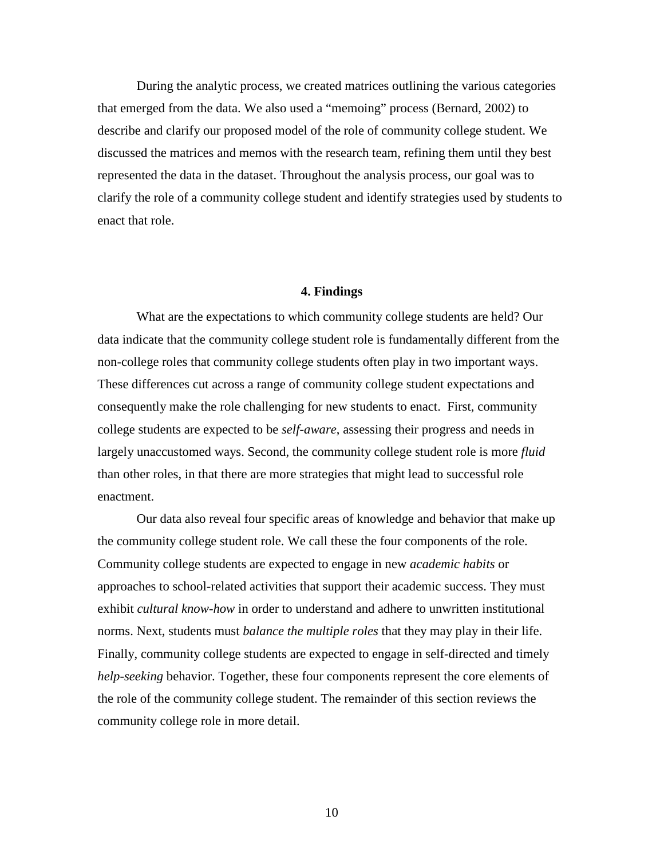During the analytic process, we created matrices outlining the various categories that emerged from the data. We also used a "memoing" process (Bernard, 2002) to describe and clarify our proposed model of the role of community college student. We discussed the matrices and memos with the research team, refining them until they best represented the data in the dataset. Throughout the analysis process, our goal was to clarify the role of a community college student and identify strategies used by students to enact that role.

### **4. Findings**

<span id="page-13-0"></span>What are the expectations to which community college students are held? Our data indicate that the community college student role is fundamentally different from the non-college roles that community college students often play in two important ways. These differences cut across a range of community college student expectations and consequently make the role challenging for new students to enact. First, community college students are expected to be *self-aware*, assessing their progress and needs in largely unaccustomed ways. Second, the community college student role is more *fluid* than other roles, in that there are more strategies that might lead to successful role enactment.

<span id="page-13-1"></span>Our data also reveal four specific areas of knowledge and behavior that make up the community college student role. We call these the four components of the role. Community college students are expected to engage in new *academic habits* or approaches to school-related activities that support their academic success. They must exhibit *cultural know-how* in order to understand and adhere to unwritten institutional norms. Next, students must *balance the multiple roles* that they may play in their life. Finally, community college students are expected to engage in self-directed and timely *help-seeking* behavior. Together, these four components represent the core elements of the role of the community college student. The remainder of this section reviews the community college role in more detail.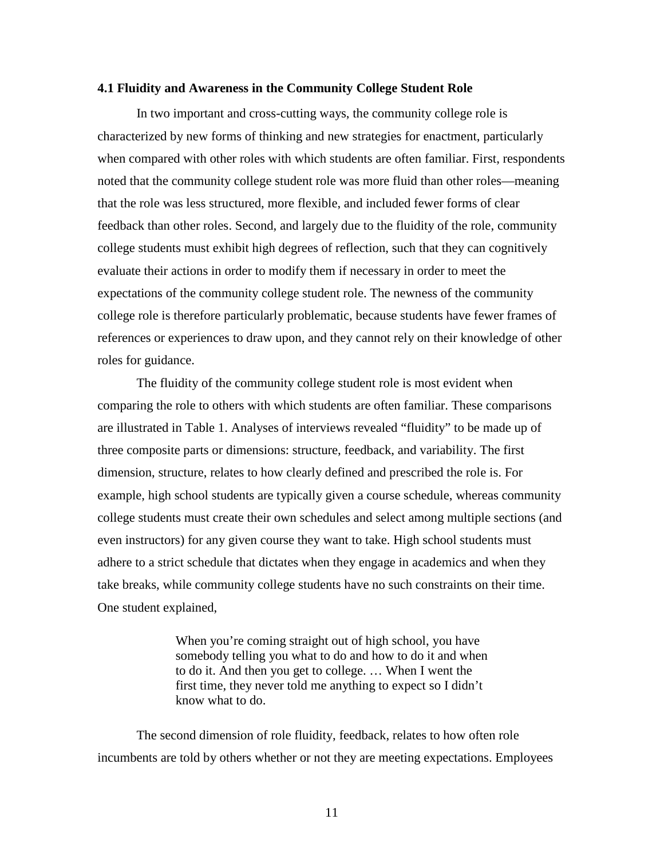#### **4.1 Fluidity and Awareness in the Community College Student Role**

In two important and cross-cutting ways, the community college role is characterized by new forms of thinking and new strategies for enactment, particularly when compared with other roles with which students are often familiar. First, respondents noted that the community college student role was more fluid than other roles—meaning that the role was less structured, more flexible, and included fewer forms of clear feedback than other roles. Second, and largely due to the fluidity of the role, community college students must exhibit high degrees of reflection, such that they can cognitively evaluate their actions in order to modify them if necessary in order to meet the expectations of the community college student role. The newness of the community college role is therefore particularly problematic, because students have fewer frames of references or experiences to draw upon, and they cannot rely on their knowledge of other roles for guidance.

The fluidity of the community college student role is most evident when comparing the role to others with which students are often familiar. These comparisons are illustrated in Table 1. Analyses of interviews revealed "fluidity" to be made up of three composite parts or dimensions: structure, feedback, and variability. The first dimension, structure, relates to how clearly defined and prescribed the role is. For example, high school students are typically given a course schedule, whereas community college students must create their own schedules and select among multiple sections (and even instructors) for any given course they want to take. High school students must adhere to a strict schedule that dictates when they engage in academics and when they take breaks, while community college students have no such constraints on their time. One student explained,

> When you're coming straight out of high school, you have somebody telling you what to do and how to do it and when to do it. And then you get to college. … When I went the first time, they never told me anything to expect so I didn't know what to do.

The second dimension of role fluidity, feedback, relates to how often role incumbents are told by others whether or not they are meeting expectations. Employees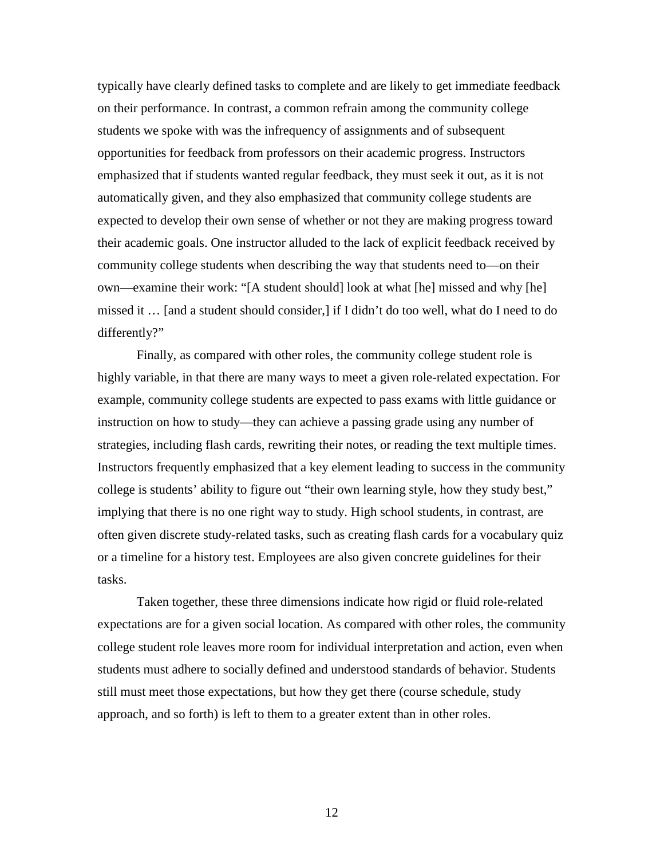typically have clearly defined tasks to complete and are likely to get immediate feedback on their performance. In contrast, a common refrain among the community college students we spoke with was the infrequency of assignments and of subsequent opportunities for feedback from professors on their academic progress. Instructors emphasized that if students wanted regular feedback, they must seek it out, as it is not automatically given, and they also emphasized that community college students are expected to develop their own sense of whether or not they are making progress toward their academic goals. One instructor alluded to the lack of explicit feedback received by community college students when describing the way that students need to—on their own—examine their work: "[A student should] look at what [he] missed and why [he] missed it … [and a student should consider,] if I didn't do too well, what do I need to do differently?"

Finally, as compared with other roles, the community college student role is highly variable, in that there are many ways to meet a given role-related expectation. For example, community college students are expected to pass exams with little guidance or instruction on how to study—they can achieve a passing grade using any number of strategies, including flash cards, rewriting their notes, or reading the text multiple times. Instructors frequently emphasized that a key element leading to success in the community college is students' ability to figure out "their own learning style, how they study best," implying that there is no one right way to study. High school students, in contrast, are often given discrete study-related tasks, such as creating flash cards for a vocabulary quiz or a timeline for a history test. Employees are also given concrete guidelines for their tasks.

Taken together, these three dimensions indicate how rigid or fluid role-related expectations are for a given social location. As compared with other roles, the community college student role leaves more room for individual interpretation and action, even when students must adhere to socially defined and understood standards of behavior. Students still must meet those expectations, but how they get there (course schedule, study approach, and so forth) is left to them to a greater extent than in other roles.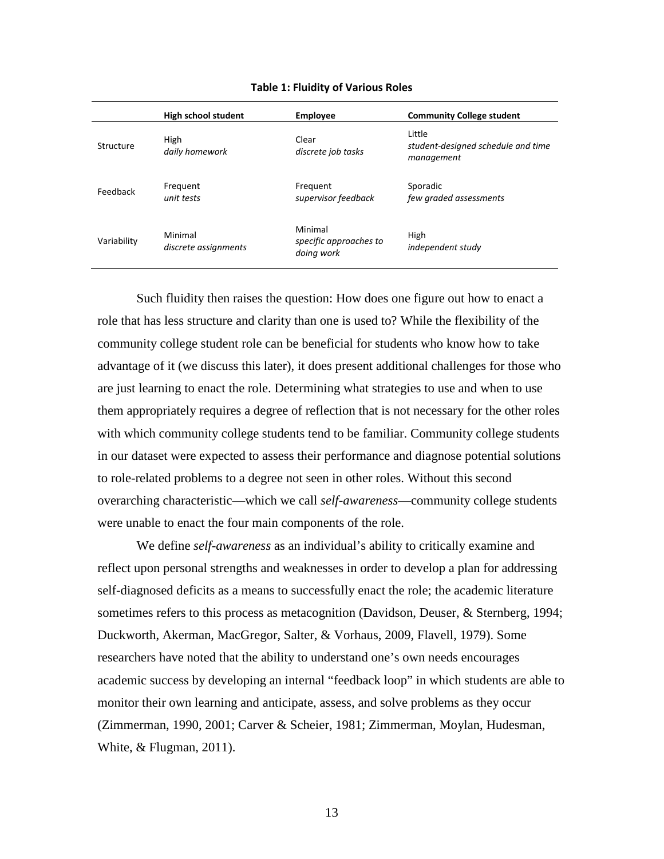|             | High school student             | <b>Employee</b>                                 | <b>Community College student</b>                           |
|-------------|---------------------------------|-------------------------------------------------|------------------------------------------------------------|
| Structure   | High<br>daily homework          | Clear<br>discrete job tasks                     | Little<br>student-designed schedule and time<br>management |
| Feedback    | Frequent<br>unit tests          | Frequent<br>supervisor feedback                 | Sporadic<br>few graded assessments                         |
| Variability | Minimal<br>discrete assignments | Minimal<br>specific approaches to<br>doing work | High<br>independent study                                  |

#### **Table 1: Fluidity of Various Roles**

Such fluidity then raises the question: How does one figure out how to enact a role that has less structure and clarity than one is used to? While the flexibility of the community college student role can be beneficial for students who know how to take advantage of it (we discuss this later), it does present additional challenges for those who are just learning to enact the role. Determining what strategies to use and when to use them appropriately requires a degree of reflection that is not necessary for the other roles with which community college students tend to be familiar. Community college students in our dataset were expected to assess their performance and diagnose potential solutions to role-related problems to a degree not seen in other roles. Without this second overarching characteristic—which we call *self-awareness*—community college students were unable to enact the four main components of the role.

We define *self-awareness* as an individual's ability to critically examine and reflect upon personal strengths and weaknesses in order to develop a plan for addressing self-diagnosed deficits as a means to successfully enact the role; the academic literature sometimes refers to this process as metacognition (Davidson, Deuser, & Sternberg, 1994; Duckworth, Akerman, MacGregor, Salter, & Vorhaus, 2009, Flavell, 1979). Some researchers have noted that the ability to understand one's own needs encourages academic success by developing an internal "feedback loop" in which students are able to monitor their own learning and anticipate, assess, and solve problems as they occur (Zimmerman, 1990, 2001; Carver & Scheier, 1981; Zimmerman, Moylan, Hudesman, White, & Flugman, 2011).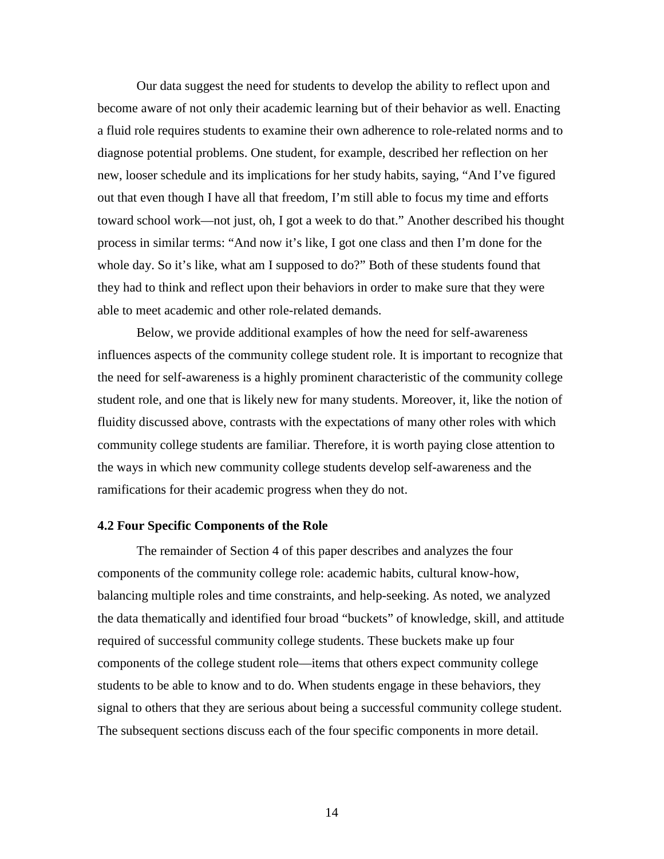Our data suggest the need for students to develop the ability to reflect upon and become aware of not only their academic learning but of their behavior as well. Enacting a fluid role requires students to examine their own adherence to role-related norms and to diagnose potential problems. One student, for example, described her reflection on her new, looser schedule and its implications for her study habits, saying, "And I've figured out that even though I have all that freedom, I'm still able to focus my time and efforts toward school work—not just, oh, I got a week to do that." Another described his thought process in similar terms: "And now it's like, I got one class and then I'm done for the whole day. So it's like, what am I supposed to do?" Both of these students found that they had to think and reflect upon their behaviors in order to make sure that they were able to meet academic and other role-related demands.

Below, we provide additional examples of how the need for self-awareness influences aspects of the community college student role. It is important to recognize that the need for self-awareness is a highly prominent characteristic of the community college student role, and one that is likely new for many students. Moreover, it, like the notion of fluidity discussed above, contrasts with the expectations of many other roles with which community college students are familiar. Therefore, it is worth paying close attention to the ways in which new community college students develop self-awareness and the ramifications for their academic progress when they do not.

#### <span id="page-17-0"></span>**4.2 Four Specific Components of the Role**

The remainder of Section 4 of this paper describes and analyzes the four components of the community college role: academic habits, cultural know-how, balancing multiple roles and time constraints, and help-seeking. As noted, we analyzed the data thematically and identified four broad "buckets" of knowledge, skill, and attitude required of successful community college students. These buckets make up four components of the college student role—items that others expect community college students to be able to know and to do. When students engage in these behaviors, they signal to others that they are serious about being a successful community college student. The subsequent sections discuss each of the four specific components in more detail.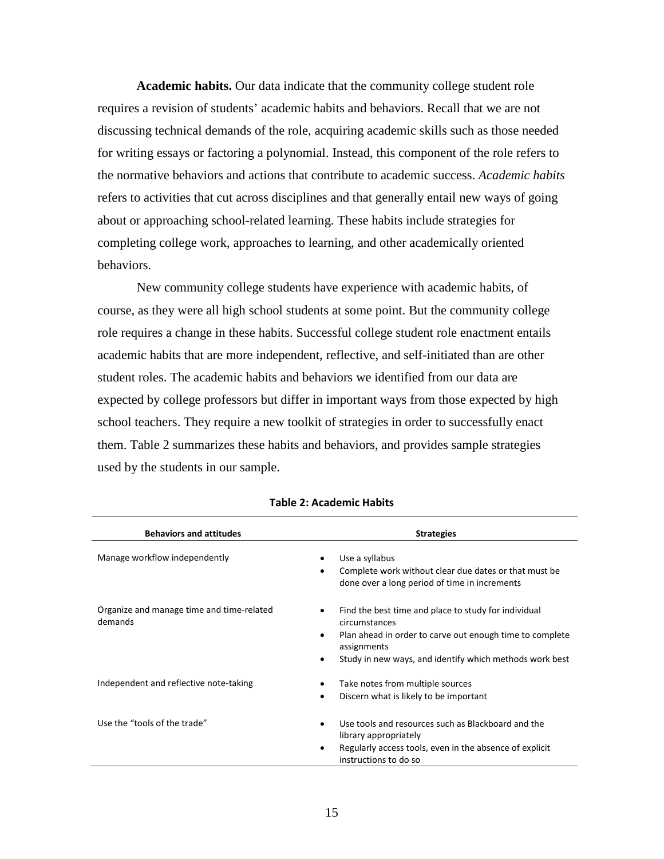**Academic habits.** Our data indicate that the community college student role requires a revision of students' academic habits and behaviors. Recall that we are not discussing technical demands of the role, acquiring academic skills such as those needed for writing essays or factoring a polynomial. Instead, this component of the role refers to the normative behaviors and actions that contribute to academic success. *Academic habits* refers to activities that cut across disciplines and that generally entail new ways of going about or approaching school-related learning. These habits include strategies for completing college work, approaches to learning, and other academically oriented behaviors.

New community college students have experience with academic habits, of course, as they were all high school students at some point. But the community college role requires a change in these habits. Successful college student role enactment entails academic habits that are more independent, reflective, and self-initiated than are other student roles. The academic habits and behaviors we identified from our data are expected by college professors but differ in important ways from those expected by high school teachers. They require a new toolkit of strategies in order to successfully enact them. Table 2 summarizes these habits and behaviors, and provides sample strategies used by the students in our sample.

| <b>Behaviors and attitudes</b>                       | <b>Strategies</b>                                                                                                                                                                                                          |
|------------------------------------------------------|----------------------------------------------------------------------------------------------------------------------------------------------------------------------------------------------------------------------------|
| Manage workflow independently                        | Use a syllabus<br>Complete work without clear due dates or that must be<br>٠<br>done over a long period of time in increments                                                                                              |
| Organize and manage time and time-related<br>demands | Find the best time and place to study for individual<br>٠<br>circumstances<br>Plan ahead in order to carve out enough time to complete<br>٠<br>assignments<br>Study in new ways, and identify which methods work best<br>٠ |
| Independent and reflective note-taking               | Take notes from multiple sources<br>Discern what is likely to be important<br>٠                                                                                                                                            |
| Use the "tools of the trade"                         | Use tools and resources such as Blackboard and the<br>٠<br>library appropriately<br>Regularly access tools, even in the absence of explicit<br>٠<br>instructions to do so                                                  |

### **Table 2: Academic Habits**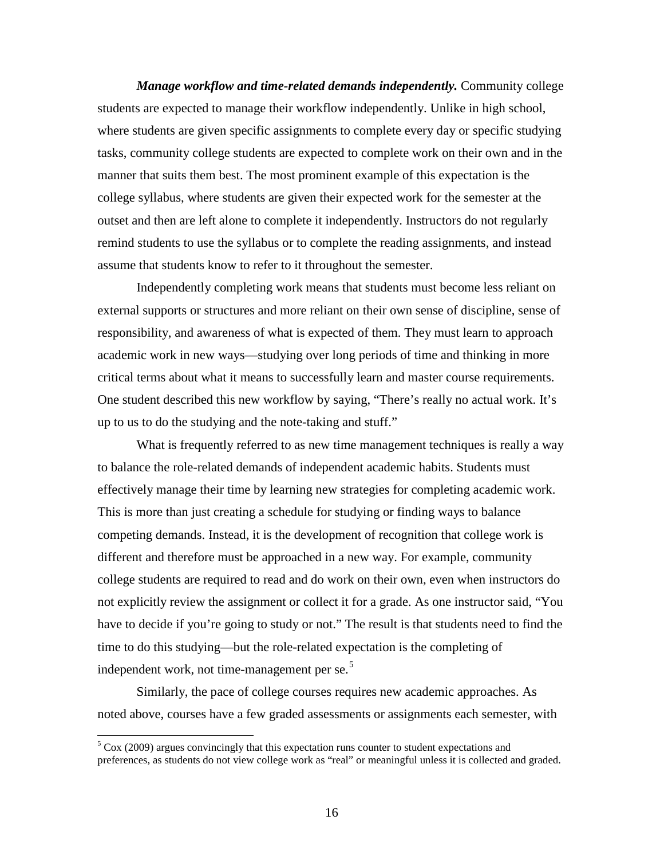*Manage workflow and time-related demands independently.* Community college students are expected to manage their workflow independently. Unlike in high school, where students are given specific assignments to complete every day or specific studying tasks, community college students are expected to complete work on their own and in the manner that suits them best. The most prominent example of this expectation is the college syllabus, where students are given their expected work for the semester at the outset and then are left alone to complete it independently. Instructors do not regularly remind students to use the syllabus or to complete the reading assignments, and instead assume that students know to refer to it throughout the semester.

Independently completing work means that students must become less reliant on external supports or structures and more reliant on their own sense of discipline, sense of responsibility, and awareness of what is expected of them. They must learn to approach academic work in new ways—studying over long periods of time and thinking in more critical terms about what it means to successfully learn and master course requirements. One student described this new workflow by saying, "There's really no actual work. It's up to us to do the studying and the note-taking and stuff."

What is frequently referred to as new time management techniques is really a way to balance the role-related demands of independent academic habits. Students must effectively manage their time by learning new strategies for completing academic work. This is more than just creating a schedule for studying or finding ways to balance competing demands. Instead, it is the development of recognition that college work is different and therefore must be approached in a new way. For example, community college students are required to read and do work on their own, even when instructors do not explicitly review the assignment or collect it for a grade. As one instructor said, "You have to decide if you're going to study or not." The result is that students need to find the time to do this studying—but the role-related expectation is the completing of independent work, not time-management per se. $5$ 

Similarly, the pace of college courses requires new academic approaches. As noted above, courses have a few graded assessments or assignments each semester, with

<span id="page-19-0"></span> $5 \text{ Cox}$  (2009) argues convincingly that this expectation runs counter to student expectations and preferences, as students do not view college work as "real" or meaningful unless it is collected and graded.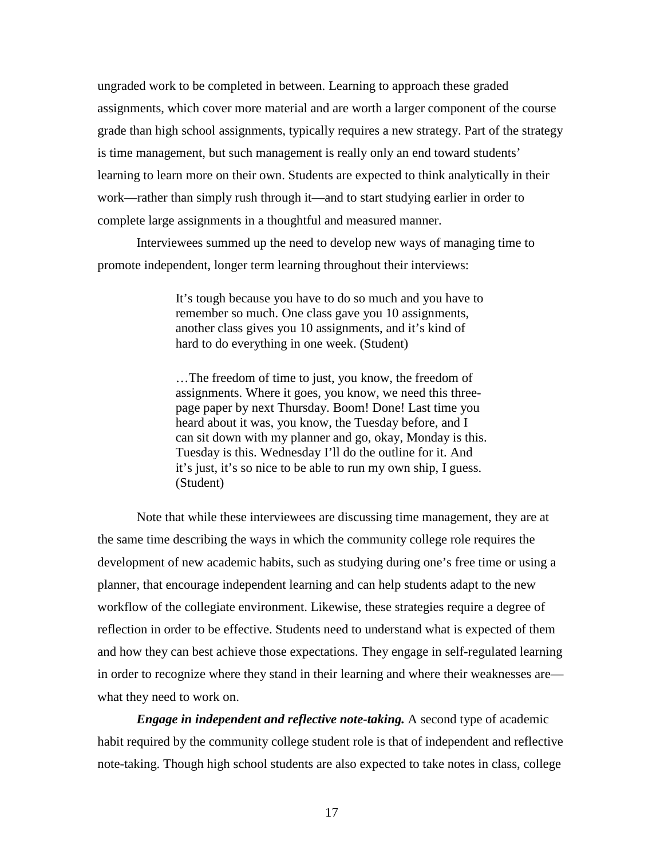ungraded work to be completed in between. Learning to approach these graded assignments, which cover more material and are worth a larger component of the course grade than high school assignments, typically requires a new strategy. Part of the strategy is time management, but such management is really only an end toward students' learning to learn more on their own. Students are expected to think analytically in their work—rather than simply rush through it—and to start studying earlier in order to complete large assignments in a thoughtful and measured manner.

Interviewees summed up the need to develop new ways of managing time to promote independent, longer term learning throughout their interviews:

> It's tough because you have to do so much and you have to remember so much. One class gave you 10 assignments, another class gives you 10 assignments, and it's kind of hard to do everything in one week. (Student)

> …The freedom of time to just, you know, the freedom of assignments. Where it goes, you know, we need this threepage paper by next Thursday. Boom! Done! Last time you heard about it was, you know, the Tuesday before, and I can sit down with my planner and go, okay, Monday is this. Tuesday is this. Wednesday I'll do the outline for it. And it's just, it's so nice to be able to run my own ship, I guess. (Student)

Note that while these interviewees are discussing time management, they are at the same time describing the ways in which the community college role requires the development of new academic habits, such as studying during one's free time or using a planner, that encourage independent learning and can help students adapt to the new workflow of the collegiate environment. Likewise, these strategies require a degree of reflection in order to be effective. Students need to understand what is expected of them and how they can best achieve those expectations. They engage in self-regulated learning in order to recognize where they stand in their learning and where their weaknesses are what they need to work on.

*Engage in independent and reflective note-taking.* A second type of academic habit required by the community college student role is that of independent and reflective note-taking. Though high school students are also expected to take notes in class, college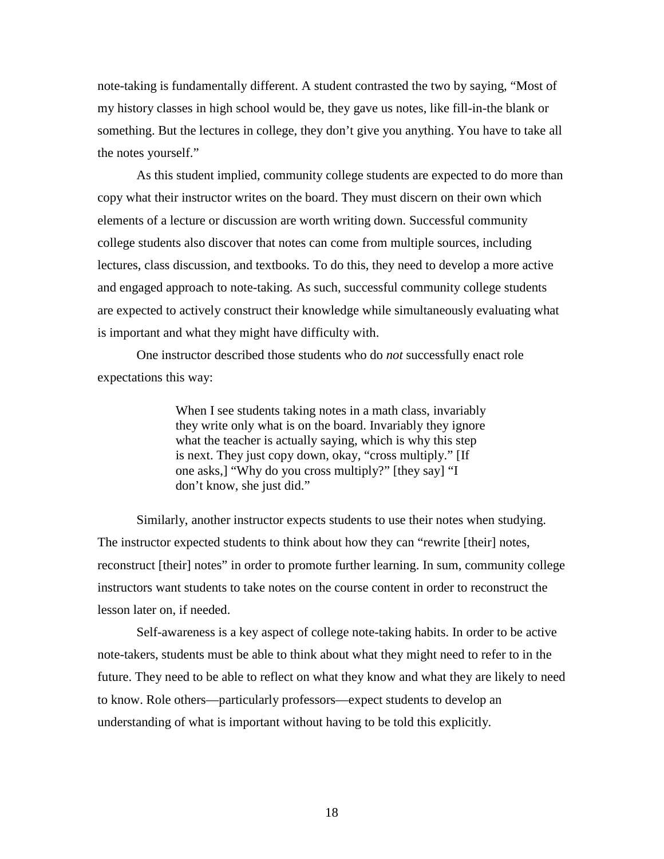note-taking is fundamentally different. A student contrasted the two by saying, "Most of my history classes in high school would be, they gave us notes, like fill-in-the blank or something. But the lectures in college, they don't give you anything. You have to take all the notes yourself."

As this student implied, community college students are expected to do more than copy what their instructor writes on the board. They must discern on their own which elements of a lecture or discussion are worth writing down. Successful community college students also discover that notes can come from multiple sources, including lectures, class discussion, and textbooks. To do this, they need to develop a more active and engaged approach to note-taking. As such, successful community college students are expected to actively construct their knowledge while simultaneously evaluating what is important and what they might have difficulty with.

One instructor described those students who do *not* successfully enact role expectations this way:

> When I see students taking notes in a math class, invariably they write only what is on the board. Invariably they ignore what the teacher is actually saying, which is why this step is next. They just copy down, okay, "cross multiply." [If one asks,] "Why do you cross multiply?" [they say] "I don't know, she just did."

Similarly, another instructor expects students to use their notes when studying. The instructor expected students to think about how they can "rewrite [their] notes, reconstruct [their] notes" in order to promote further learning. In sum, community college instructors want students to take notes on the course content in order to reconstruct the lesson later on, if needed.

Self-awareness is a key aspect of college note-taking habits. In order to be active note-takers, students must be able to think about what they might need to refer to in the future. They need to be able to reflect on what they know and what they are likely to need to know. Role others—particularly professors—expect students to develop an understanding of what is important without having to be told this explicitly.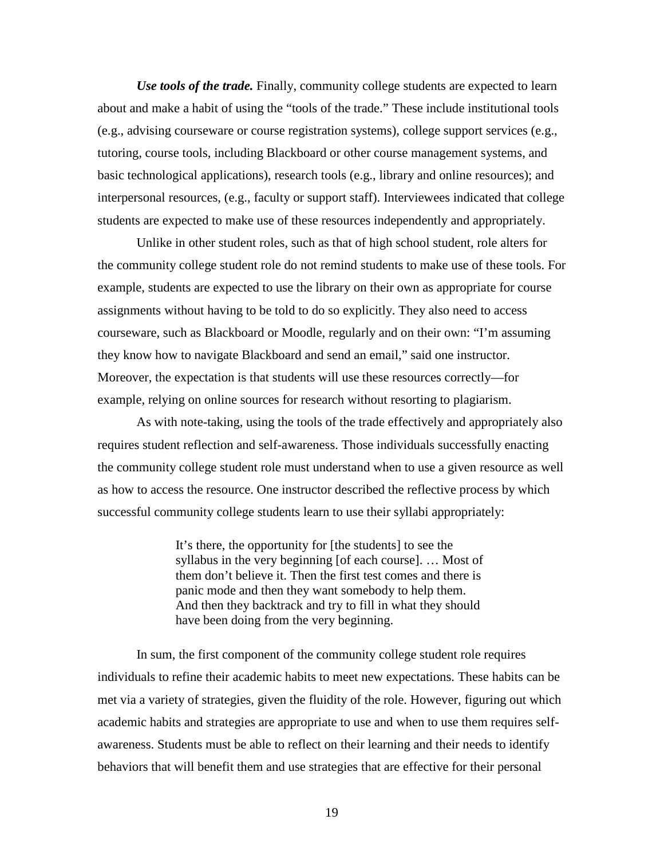*Use tools of the trade.* Finally, community college students are expected to learn about and make a habit of using the "tools of the trade." These include institutional tools (e.g., advising courseware or course registration systems), college support services (e.g., tutoring, course tools, including Blackboard or other course management systems, and basic technological applications), research tools (e.g., library and online resources); and interpersonal resources, (e.g., faculty or support staff). Interviewees indicated that college students are expected to make use of these resources independently and appropriately.

Unlike in other student roles, such as that of high school student, role alters for the community college student role do not remind students to make use of these tools. For example, students are expected to use the library on their own as appropriate for course assignments without having to be told to do so explicitly. They also need to access courseware, such as Blackboard or Moodle, regularly and on their own: "I'm assuming they know how to navigate Blackboard and send an email," said one instructor. Moreover, the expectation is that students will use these resources correctly—for example, relying on online sources for research without resorting to plagiarism.

As with note-taking, using the tools of the trade effectively and appropriately also requires student reflection and self-awareness. Those individuals successfully enacting the community college student role must understand when to use a given resource as well as how to access the resource. One instructor described the reflective process by which successful community college students learn to use their syllabi appropriately:

> It's there, the opportunity for [the students] to see the syllabus in the very beginning [of each course]. … Most of them don't believe it. Then the first test comes and there is panic mode and then they want somebody to help them. And then they backtrack and try to fill in what they should have been doing from the very beginning.

In sum, the first component of the community college student role requires individuals to refine their academic habits to meet new expectations. These habits can be met via a variety of strategies, given the fluidity of the role. However, figuring out which academic habits and strategies are appropriate to use and when to use them requires selfawareness. Students must be able to reflect on their learning and their needs to identify behaviors that will benefit them and use strategies that are effective for their personal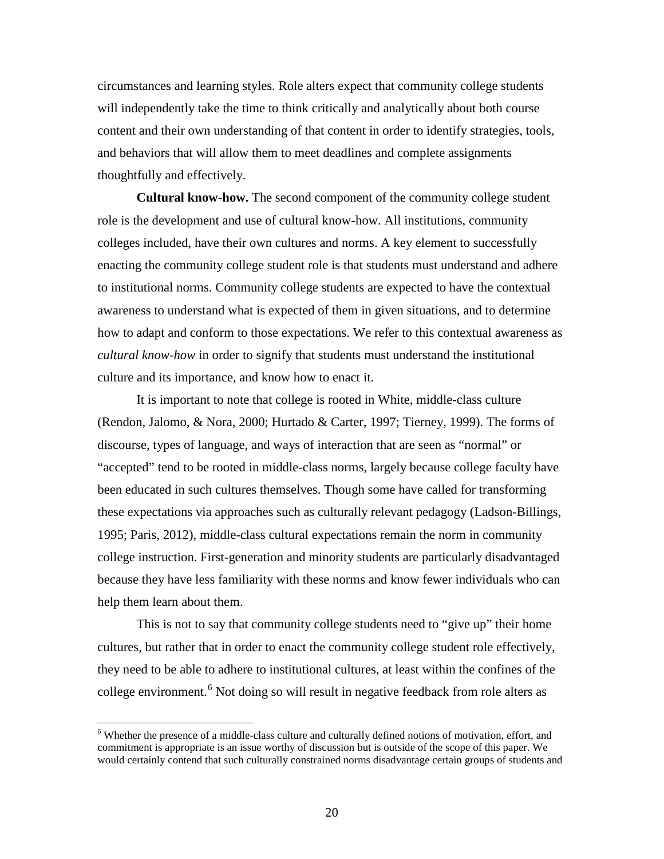circumstances and learning styles. Role alters expect that community college students will independently take the time to think critically and analytically about both course content and their own understanding of that content in order to identify strategies, tools, and behaviors that will allow them to meet deadlines and complete assignments thoughtfully and effectively.

**Cultural know-how.** The second component of the community college student role is the development and use of cultural know-how. All institutions, community colleges included, have their own cultures and norms. A key element to successfully enacting the community college student role is that students must understand and adhere to institutional norms. Community college students are expected to have the contextual awareness to understand what is expected of them in given situations, and to determine how to adapt and conform to those expectations. We refer to this contextual awareness as *cultural know-how* in order to signify that students must understand the institutional culture and its importance, and know how to enact it.

It is important to note that college is rooted in White, middle-class culture (Rendon, Jalomo, & Nora, 2000; Hurtado & Carter, 1997; Tierney, 1999). The forms of discourse, types of language, and ways of interaction that are seen as "normal" or "accepted" tend to be rooted in middle-class norms, largely because college faculty have been educated in such cultures themselves. Though some have called for transforming these expectations via approaches such as culturally relevant pedagogy (Ladson-Billings, 1995; Paris, 2012), middle-class cultural expectations remain the norm in community college instruction. First-generation and minority students are particularly disadvantaged because they have less familiarity with these norms and know fewer individuals who can help them learn about them.

This is not to say that community college students need to "give up" their home cultures, but rather that in order to enact the community college student role effectively, they need to be able to adhere to institutional cultures, at least within the confines of the college environment.<sup>[6](#page-23-0)</sup> Not doing so will result in negative feedback from role alters as

<span id="page-23-0"></span><sup>&</sup>lt;sup>6</sup> Whether the presence of a middle-class culture and culturally defined notions of motivation, effort, and commitment is appropriate is an issue worthy of discussion but is outside of the scope of this paper. We would certainly contend that such culturally constrained norms disadvantage certain groups of students and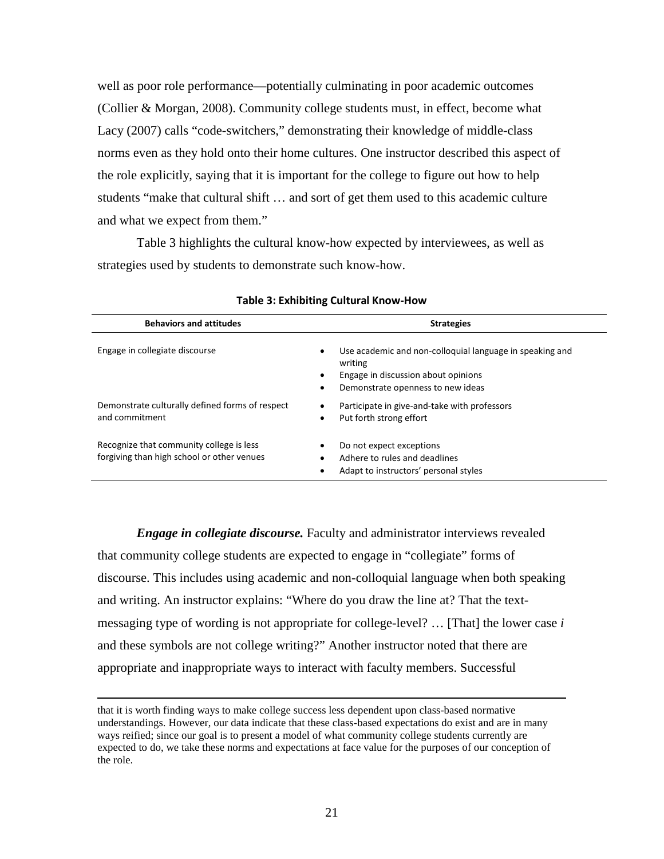well as poor role performance—potentially culminating in poor academic outcomes (Collier & Morgan, 2008). Community college students must, in effect, become what Lacy (2007) calls "code-switchers," demonstrating their knowledge of middle-class norms even as they hold onto their home cultures. One instructor described this aspect of the role explicitly, saying that it is important for the college to figure out how to help students "make that cultural shift … and sort of get them used to this academic culture and what we expect from them."

Table 3 highlights the cultural know-how expected by interviewees, as well as strategies used by students to demonstrate such know-how.

| <b>Behaviors and attitudes</b>                                                         | <b>Strategies</b>                                                                                                                                                 |
|----------------------------------------------------------------------------------------|-------------------------------------------------------------------------------------------------------------------------------------------------------------------|
| Engage in collegiate discourse                                                         | Use academic and non-colloquial language in speaking and<br>$\bullet$<br>writing<br>Engage in discussion about opinions<br>Demonstrate openness to new ideas<br>٠ |
| Demonstrate culturally defined forms of respect<br>and commitment                      | Participate in give-and-take with professors<br>٠<br>Put forth strong effort<br>٠                                                                                 |
| Recognize that community college is less<br>forgiving than high school or other venues | Do not expect exceptions<br>Adhere to rules and deadlines<br>Adapt to instructors' personal styles                                                                |

#### **Table 3: Exhibiting Cultural Know-How**

*Engage in collegiate discourse.* Faculty and administrator interviews revealed that community college students are expected to engage in "collegiate" forms of discourse. This includes using academic and non-colloquial language when both speaking and writing. An instructor explains: "Where do you draw the line at? That the textmessaging type of wording is not appropriate for college-level? … [That] the lower case *i* and these symbols are not college writing?" Another instructor noted that there are appropriate and inappropriate ways to interact with faculty members. Successful

 $\overline{\phantom{a}}$ 

that it is worth finding ways to make college success less dependent upon class-based normative understandings. However, our data indicate that these class-based expectations do exist and are in many ways reified; since our goal is to present a model of what community college students currently are expected to do, we take these norms and expectations at face value for the purposes of our conception of the role.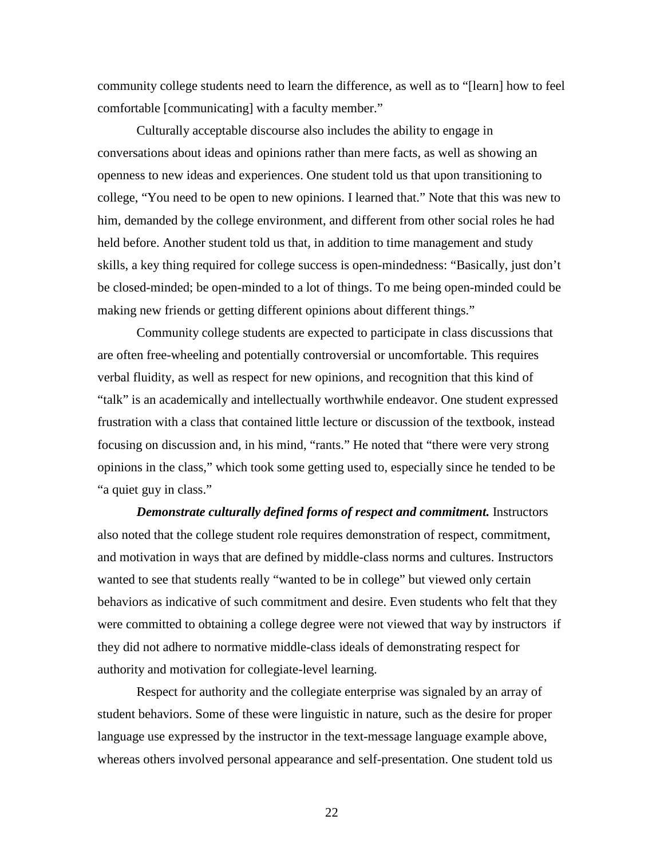community college students need to learn the difference, as well as to "[learn] how to feel comfortable [communicating] with a faculty member."

Culturally acceptable discourse also includes the ability to engage in conversations about ideas and opinions rather than mere facts, as well as showing an openness to new ideas and experiences. One student told us that upon transitioning to college, "You need to be open to new opinions. I learned that." Note that this was new to him, demanded by the college environment, and different from other social roles he had held before. Another student told us that, in addition to time management and study skills, a key thing required for college success is open-mindedness: "Basically, just don't be closed-minded; be open-minded to a lot of things. To me being open-minded could be making new friends or getting different opinions about different things."

Community college students are expected to participate in class discussions that are often free-wheeling and potentially controversial or uncomfortable. This requires verbal fluidity, as well as respect for new opinions, and recognition that this kind of "talk" is an academically and intellectually worthwhile endeavor. One student expressed frustration with a class that contained little lecture or discussion of the textbook, instead focusing on discussion and, in his mind, "rants." He noted that "there were very strong opinions in the class," which took some getting used to, especially since he tended to be "a quiet guy in class."

*Demonstrate culturally defined forms of respect and commitment.* Instructors also noted that the college student role requires demonstration of respect, commitment, and motivation in ways that are defined by middle-class norms and cultures. Instructors wanted to see that students really "wanted to be in college" but viewed only certain behaviors as indicative of such commitment and desire. Even students who felt that they were committed to obtaining a college degree were not viewed that way by instructors if they did not adhere to normative middle-class ideals of demonstrating respect for authority and motivation for collegiate-level learning.

Respect for authority and the collegiate enterprise was signaled by an array of student behaviors. Some of these were linguistic in nature, such as the desire for proper language use expressed by the instructor in the text-message language example above, whereas others involved personal appearance and self-presentation. One student told us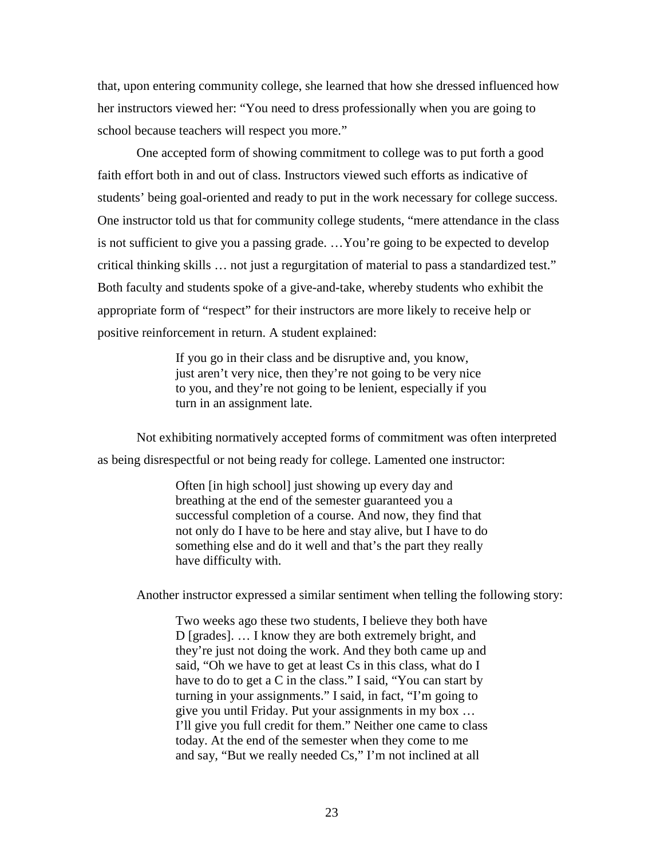that, upon entering community college, she learned that how she dressed influenced how her instructors viewed her: "You need to dress professionally when you are going to school because teachers will respect you more."

One accepted form of showing commitment to college was to put forth a good faith effort both in and out of class. Instructors viewed such efforts as indicative of students' being goal-oriented and ready to put in the work necessary for college success. One instructor told us that for community college students, "mere attendance in the class is not sufficient to give you a passing grade. …You're going to be expected to develop critical thinking skills … not just a regurgitation of material to pass a standardized test." Both faculty and students spoke of a give-and-take, whereby students who exhibit the appropriate form of "respect" for their instructors are more likely to receive help or positive reinforcement in return. A student explained:

> If you go in their class and be disruptive and, you know, just aren't very nice, then they're not going to be very nice to you, and they're not going to be lenient, especially if you turn in an assignment late.

Not exhibiting normatively accepted forms of commitment was often interpreted as being disrespectful or not being ready for college. Lamented one instructor:

> Often [in high school] just showing up every day and breathing at the end of the semester guaranteed you a successful completion of a course. And now, they find that not only do I have to be here and stay alive, but I have to do something else and do it well and that's the part they really have difficulty with.

Another instructor expressed a similar sentiment when telling the following story:

Two weeks ago these two students, I believe they both have D [grades]. … I know they are both extremely bright, and they're just not doing the work. And they both came up and said, "Oh we have to get at least Cs in this class, what do I have to do to get a C in the class." I said, "You can start by turning in your assignments." I said, in fact, "I'm going to give you until Friday. Put your assignments in my box … I'll give you full credit for them." Neither one came to class today. At the end of the semester when they come to me and say, "But we really needed Cs," I'm not inclined at all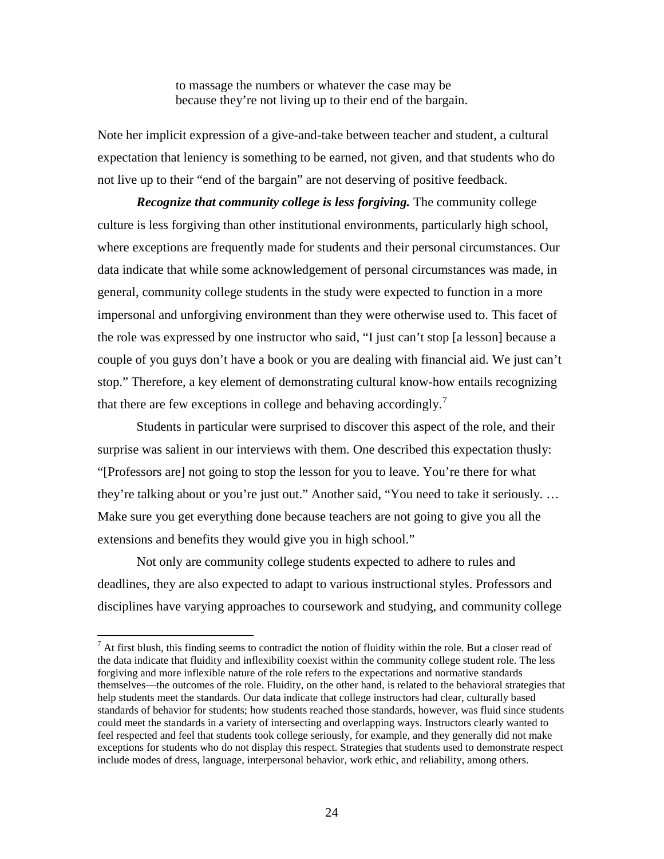to massage the numbers or whatever the case may be because they're not living up to their end of the bargain.

Note her implicit expression of a give-and-take between teacher and student, a cultural expectation that leniency is something to be earned, not given, and that students who do not live up to their "end of the bargain" are not deserving of positive feedback.

*Recognize that community college is less forgiving.* The community college culture is less forgiving than other institutional environments, particularly high school, where exceptions are frequently made for students and their personal circumstances. Our data indicate that while some acknowledgement of personal circumstances was made, in general, community college students in the study were expected to function in a more impersonal and unforgiving environment than they were otherwise used to. This facet of the role was expressed by one instructor who said, "I just can't stop [a lesson] because a couple of you guys don't have a book or you are dealing with financial aid. We just can't stop." Therefore, a key element of demonstrating cultural know-how entails recognizing that there are few exceptions in college and behaving accordingly.<sup>[7](#page-27-0)</sup>

Students in particular were surprised to discover this aspect of the role, and their surprise was salient in our interviews with them. One described this expectation thusly: "[Professors are] not going to stop the lesson for you to leave. You're there for what they're talking about or you're just out." Another said, "You need to take it seriously. … Make sure you get everything done because teachers are not going to give you all the extensions and benefits they would give you in high school."

Not only are community college students expected to adhere to rules and deadlines, they are also expected to adapt to various instructional styles. Professors and disciplines have varying approaches to coursework and studying, and community college

<span id="page-27-0"></span> $<sup>7</sup>$  At first blush, this finding seems to contradict the notion of fluidity within the role. But a closer read of</sup> the data indicate that fluidity and inflexibility coexist within the community college student role. The less forgiving and more inflexible nature of the role refers to the expectations and normative standards themselves—the outcomes of the role. Fluidity, on the other hand, is related to the behavioral strategies that help students meet the standards. Our data indicate that college instructors had clear, culturally based standards of behavior for students; how students reached those standards, however, was fluid since students could meet the standards in a variety of intersecting and overlapping ways. Instructors clearly wanted to feel respected and feel that students took college seriously, for example, and they generally did not make exceptions for students who do not display this respect. Strategies that students used to demonstrate respect include modes of dress, language, interpersonal behavior, work ethic, and reliability, among others.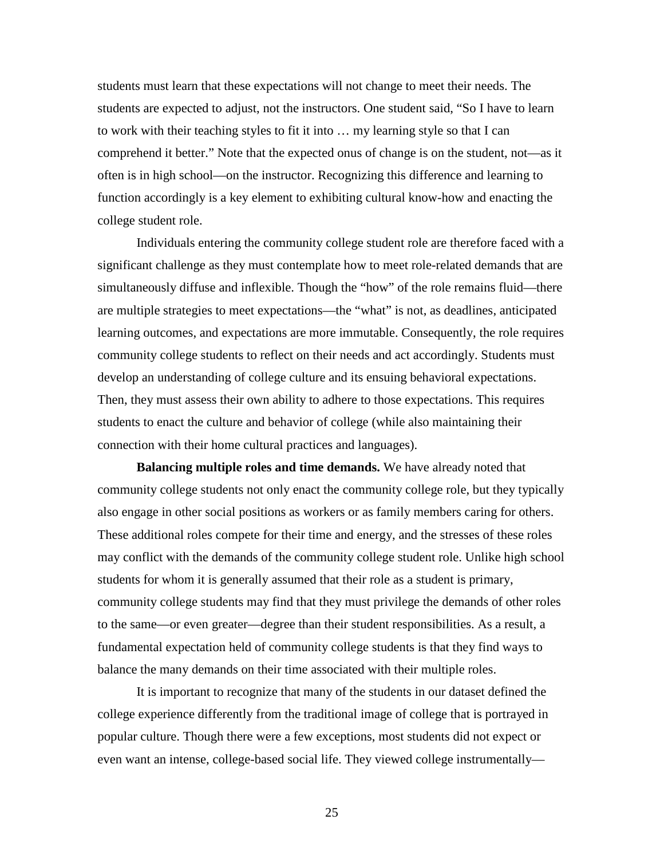students must learn that these expectations will not change to meet their needs. The students are expected to adjust, not the instructors. One student said, "So I have to learn to work with their teaching styles to fit it into … my learning style so that I can comprehend it better." Note that the expected onus of change is on the student, not—as it often is in high school—on the instructor. Recognizing this difference and learning to function accordingly is a key element to exhibiting cultural know-how and enacting the college student role.

Individuals entering the community college student role are therefore faced with a significant challenge as they must contemplate how to meet role-related demands that are simultaneously diffuse and inflexible. Though the "how" of the role remains fluid—there are multiple strategies to meet expectations—the "what" is not, as deadlines, anticipated learning outcomes, and expectations are more immutable. Consequently, the role requires community college students to reflect on their needs and act accordingly. Students must develop an understanding of college culture and its ensuing behavioral expectations. Then, they must assess their own ability to adhere to those expectations. This requires students to enact the culture and behavior of college (while also maintaining their connection with their home cultural practices and languages).

**Balancing multiple roles and time demands.** We have already noted that community college students not only enact the community college role, but they typically also engage in other social positions as workers or as family members caring for others. These additional roles compete for their time and energy, and the stresses of these roles may conflict with the demands of the community college student role. Unlike high school students for whom it is generally assumed that their role as a student is primary, community college students may find that they must privilege the demands of other roles to the same—or even greater—degree than their student responsibilities. As a result, a fundamental expectation held of community college students is that they find ways to balance the many demands on their time associated with their multiple roles.

It is important to recognize that many of the students in our dataset defined the college experience differently from the traditional image of college that is portrayed in popular culture. Though there were a few exceptions, most students did not expect or even want an intense, college-based social life. They viewed college instrumentally—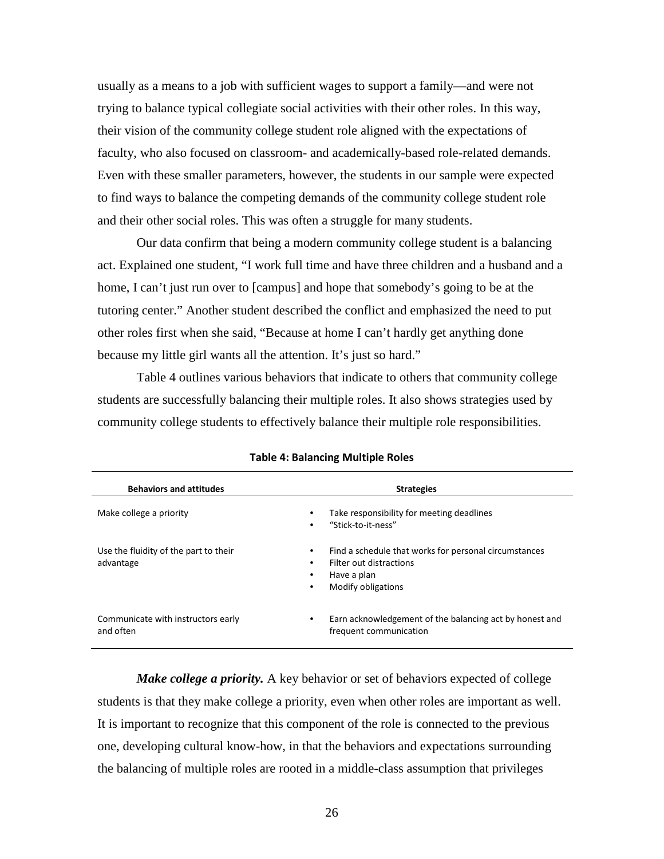usually as a means to a job with sufficient wages to support a family—and were not trying to balance typical collegiate social activities with their other roles. In this way, their vision of the community college student role aligned with the expectations of faculty, who also focused on classroom- and academically-based role-related demands. Even with these smaller parameters, however, the students in our sample were expected to find ways to balance the competing demands of the community college student role and their other social roles. This was often a struggle for many students.

Our data confirm that being a modern community college student is a balancing act. Explained one student, "I work full time and have three children and a husband and a home, I can't just run over to [campus] and hope that somebody's going to be at the tutoring center." Another student described the conflict and emphasized the need to put other roles first when she said, "Because at home I can't hardly get anything done because my little girl wants all the attention. It's just so hard."

Table 4 outlines various behaviors that indicate to others that community college students are successfully balancing their multiple roles. It also shows strategies used by community college students to effectively balance their multiple role responsibilities.

| <b>Behaviors and attitudes</b>                     | <b>Strategies</b>                                                                                                          |
|----------------------------------------------------|----------------------------------------------------------------------------------------------------------------------------|
| Make college a priority                            | Take responsibility for meeting deadlines<br>"Stick-to-it-ness"                                                            |
| Use the fluidity of the part to their<br>advantage | Find a schedule that works for personal circumstances<br>Filter out distractions<br>Have a plan<br>Modify obligations<br>٠ |
| Communicate with instructors early<br>and often    | Earn acknowledgement of the balancing act by honest and<br>frequent communication                                          |

|  | <b>Table 4: Balancing Multiple Roles</b> |  |  |
|--|------------------------------------------|--|--|
|--|------------------------------------------|--|--|

*Make college a priority.* A key behavior or set of behaviors expected of college students is that they make college a priority, even when other roles are important as well. It is important to recognize that this component of the role is connected to the previous one, developing cultural know-how, in that the behaviors and expectations surrounding the balancing of multiple roles are rooted in a middle-class assumption that privileges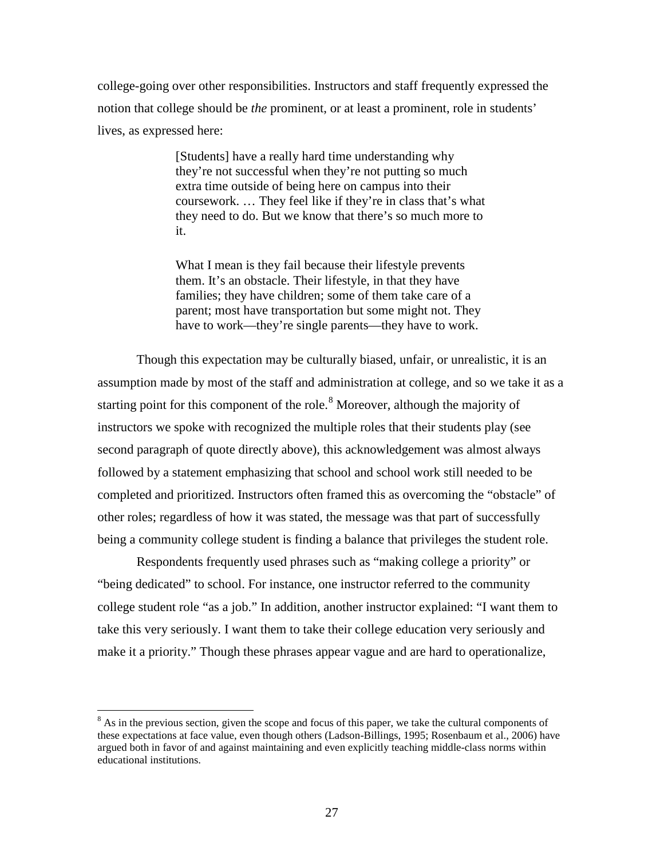college-going over other responsibilities. Instructors and staff frequently expressed the notion that college should be *the* prominent, or at least a prominent, role in students' lives, as expressed here:

> [Students] have a really hard time understanding why they're not successful when they're not putting so much extra time outside of being here on campus into their coursework. … They feel like if they're in class that's what they need to do. But we know that there's so much more to it.

What I mean is they fail because their lifestyle prevents them. It's an obstacle. Their lifestyle, in that they have families; they have children; some of them take care of a parent; most have transportation but some might not. They have to work—they're single parents—they have to work.

Though this expectation may be culturally biased, unfair, or unrealistic, it is an assumption made by most of the staff and administration at college, and so we take it as a starting point for this component of the role.<sup>[8](#page-30-0)</sup> Moreover, although the majority of instructors we spoke with recognized the multiple roles that their students play (see second paragraph of quote directly above), this acknowledgement was almost always followed by a statement emphasizing that school and school work still needed to be completed and prioritized. Instructors often framed this as overcoming the "obstacle" of other roles; regardless of how it was stated, the message was that part of successfully being a community college student is finding a balance that privileges the student role.

Respondents frequently used phrases such as "making college a priority" or "being dedicated" to school. For instance, one instructor referred to the community college student role "as a job." In addition, another instructor explained: "I want them to take this very seriously. I want them to take their college education very seriously and make it a priority." Though these phrases appear vague and are hard to operationalize,

<span id="page-30-0"></span><sup>&</sup>lt;sup>8</sup> As in the previous section, given the scope and focus of this paper, we take the cultural components of these expectations at face value, even though others (Ladson-Billings, 1995; Rosenbaum et al., 2006) have argued both in favor of and against maintaining and even explicitly teaching middle-class norms within educational institutions.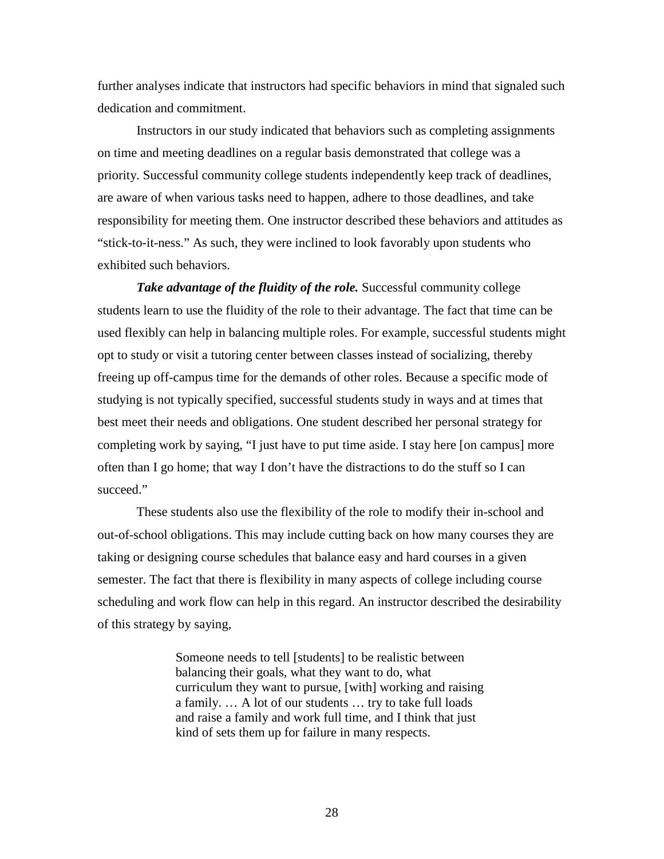further analyses indicate that instructors had specific behaviors in mind that signaled such dedication and commitment.

Instructors in our study indicated that behaviors such as completing assignments on time and meeting deadlines on a regular basis demonstrated that college was a priority. Successful community college students independently keep track of deadlines, are aware of when various tasks need to happen, adhere to those deadlines, and take responsibility for meeting them. One instructor described these behaviors and attitudes as "stick-to-it-ness." As such, they were inclined to look favorably upon students who exhibited such behaviors.

**Take advantage of the fluidity of the role.** Successful community college students learn to use the fluidity of the role to their advantage. The fact that time can be used flexibly can help in balancing multiple roles. For example, successful students might opt to study or visit a tutoring center between classes instead of socializing, thereby freeing up off-campus time for the demands of other roles. Because a specific mode of studying is not typically specified, successful students study in ways and at times that best meet their needs and obligations. One student described her personal strategy for completing work by saying, "I just have to put time aside. I stay here [on campus] more often than I go home; that way I don't have the distractions to do the stuff so I can succeed."

These students also use the flexibility of the role to modify their in-school and out-of-school obligations. This may include cutting back on how many courses they are taking or designing course schedules that balance easy and hard courses in a given semester. The fact that there is flexibility in many aspects of college including course scheduling and work flow can help in this regard. An instructor described the desirability of this strategy by saying,

> Someone needs to tell [students] to be realistic between balancing their goals, what they want to do, what curriculum they want to pursue, [with] working and raising a family. … A lot of our students … try to take full loads and raise a family and work full time, and I think that just kind of sets them up for failure in many respects.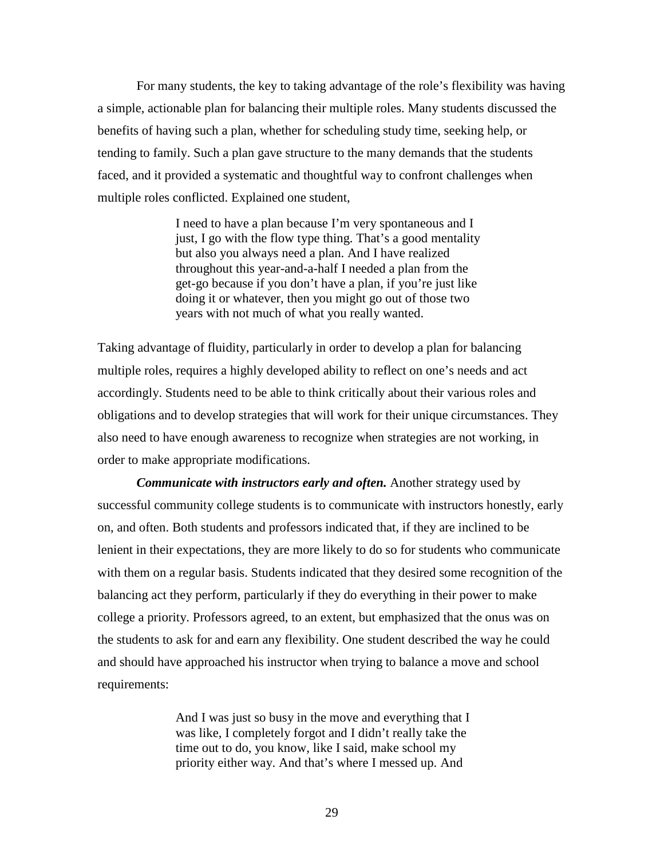For many students, the key to taking advantage of the role's flexibility was having a simple, actionable plan for balancing their multiple roles. Many students discussed the benefits of having such a plan, whether for scheduling study time, seeking help, or tending to family. Such a plan gave structure to the many demands that the students faced, and it provided a systematic and thoughtful way to confront challenges when multiple roles conflicted. Explained one student,

> I need to have a plan because I'm very spontaneous and I just, I go with the flow type thing. That's a good mentality but also you always need a plan. And I have realized throughout this year-and-a-half I needed a plan from the get-go because if you don't have a plan, if you're just like doing it or whatever, then you might go out of those two years with not much of what you really wanted.

Taking advantage of fluidity, particularly in order to develop a plan for balancing multiple roles, requires a highly developed ability to reflect on one's needs and act accordingly. Students need to be able to think critically about their various roles and obligations and to develop strategies that will work for their unique circumstances. They also need to have enough awareness to recognize when strategies are not working, in order to make appropriate modifications.

*Communicate with instructors early and often.* Another strategy used by successful community college students is to communicate with instructors honestly, early on, and often. Both students and professors indicated that, if they are inclined to be lenient in their expectations, they are more likely to do so for students who communicate with them on a regular basis. Students indicated that they desired some recognition of the balancing act they perform, particularly if they do everything in their power to make college a priority. Professors agreed, to an extent, but emphasized that the onus was on the students to ask for and earn any flexibility. One student described the way he could and should have approached his instructor when trying to balance a move and school requirements:

> And I was just so busy in the move and everything that I was like, I completely forgot and I didn't really take the time out to do, you know, like I said, make school my priority either way. And that's where I messed up. And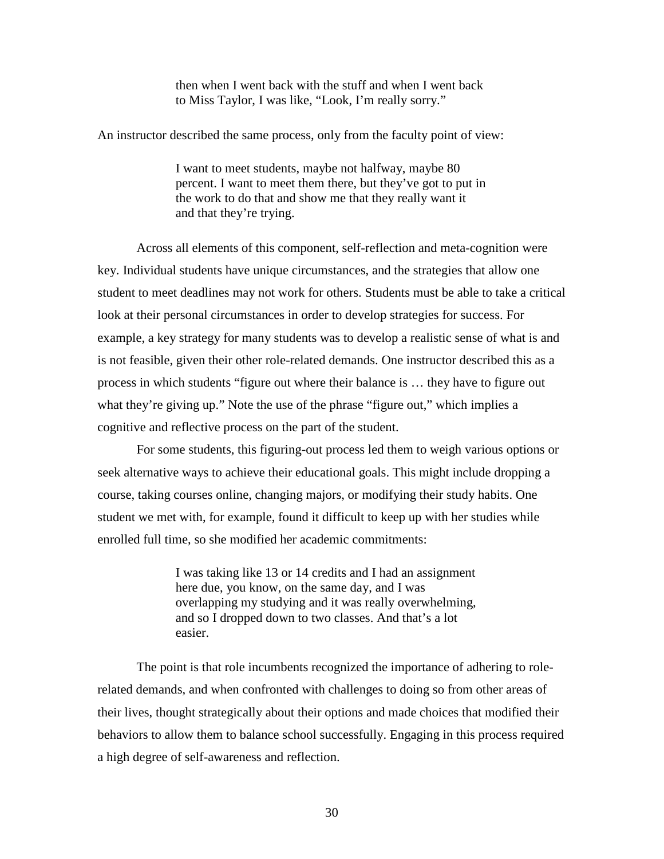then when I went back with the stuff and when I went back to Miss Taylor, I was like, "Look, I'm really sorry."

An instructor described the same process, only from the faculty point of view:

I want to meet students, maybe not halfway, maybe 80 percent. I want to meet them there, but they've got to put in the work to do that and show me that they really want it and that they're trying.

Across all elements of this component, self-reflection and meta-cognition were key. Individual students have unique circumstances, and the strategies that allow one student to meet deadlines may not work for others. Students must be able to take a critical look at their personal circumstances in order to develop strategies for success. For example, a key strategy for many students was to develop a realistic sense of what is and is not feasible, given their other role-related demands. One instructor described this as a process in which students "figure out where their balance is … they have to figure out what they're giving up." Note the use of the phrase "figure out," which implies a cognitive and reflective process on the part of the student.

For some students, this figuring-out process led them to weigh various options or seek alternative ways to achieve their educational goals. This might include dropping a course, taking courses online, changing majors, or modifying their study habits. One student we met with, for example, found it difficult to keep up with her studies while enrolled full time, so she modified her academic commitments:

> I was taking like 13 or 14 credits and I had an assignment here due, you know, on the same day, and I was overlapping my studying and it was really overwhelming, and so I dropped down to two classes. And that's a lot easier.

The point is that role incumbents recognized the importance of adhering to rolerelated demands, and when confronted with challenges to doing so from other areas of their lives, thought strategically about their options and made choices that modified their behaviors to allow them to balance school successfully. Engaging in this process required a high degree of self-awareness and reflection.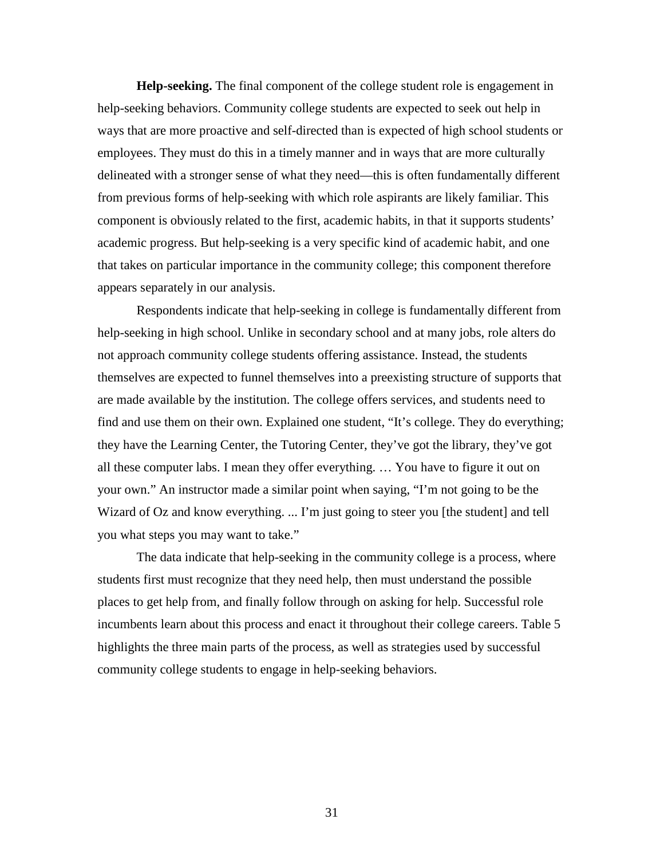**Help-seeking.** The final component of the college student role is engagement in help-seeking behaviors. Community college students are expected to seek out help in ways that are more proactive and self-directed than is expected of high school students or employees. They must do this in a timely manner and in ways that are more culturally delineated with a stronger sense of what they need—this is often fundamentally different from previous forms of help-seeking with which role aspirants are likely familiar. This component is obviously related to the first, academic habits, in that it supports students' academic progress. But help-seeking is a very specific kind of academic habit, and one that takes on particular importance in the community college; this component therefore appears separately in our analysis.

Respondents indicate that help-seeking in college is fundamentally different from help-seeking in high school. Unlike in secondary school and at many jobs, role alters do not approach community college students offering assistance. Instead, the students themselves are expected to funnel themselves into a preexisting structure of supports that are made available by the institution. The college offers services, and students need to find and use them on their own. Explained one student, "It's college. They do everything; they have the Learning Center, the Tutoring Center, they've got the library, they've got all these computer labs. I mean they offer everything. … You have to figure it out on your own." An instructor made a similar point when saying, "I'm not going to be the Wizard of Oz and know everything. ... I'm just going to steer you [the student] and tell you what steps you may want to take."

The data indicate that help-seeking in the community college is a process, where students first must recognize that they need help, then must understand the possible places to get help from, and finally follow through on asking for help. Successful role incumbents learn about this process and enact it throughout their college careers. Table 5 highlights the three main parts of the process, as well as strategies used by successful community college students to engage in help-seeking behaviors.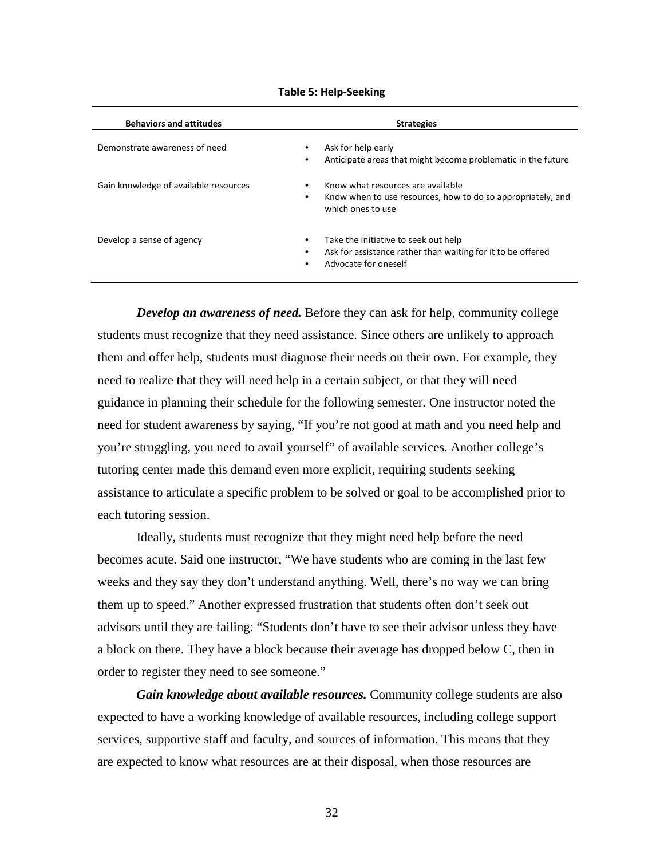| <b>Behaviors and attitudes</b>        | <b>Strategies</b>                                                                                                                          |
|---------------------------------------|--------------------------------------------------------------------------------------------------------------------------------------------|
| Demonstrate awareness of need         | Ask for help early<br>٠<br>Anticipate areas that might become problematic in the future<br>$\bullet$                                       |
| Gain knowledge of available resources | Know what resources are available<br>٠<br>Know when to use resources, how to do so appropriately, and<br>٠<br>which ones to use            |
| Develop a sense of agency             | Take the initiative to seek out help<br>٠<br>Ask for assistance rather than waiting for it to be offered<br>٠<br>Advocate for oneself<br>٠ |

**Table 5: Help-Seeking**

*Develop an awareness of need.* Before they can ask for help, community college students must recognize that they need assistance. Since others are unlikely to approach them and offer help, students must diagnose their needs on their own. For example, they need to realize that they will need help in a certain subject, or that they will need guidance in planning their schedule for the following semester. One instructor noted the need for student awareness by saying, "If you're not good at math and you need help and you're struggling, you need to avail yourself" of available services. Another college's tutoring center made this demand even more explicit, requiring students seeking assistance to articulate a specific problem to be solved or goal to be accomplished prior to each tutoring session.

Ideally, students must recognize that they might need help before the need becomes acute. Said one instructor, "We have students who are coming in the last few weeks and they say they don't understand anything. Well, there's no way we can bring them up to speed." Another expressed frustration that students often don't seek out advisors until they are failing: "Students don't have to see their advisor unless they have a block on there. They have a block because their average has dropped below C, then in order to register they need to see someone."

*Gain knowledge about available resources.* Community college students are also expected to have a working knowledge of available resources, including college support services, supportive staff and faculty, and sources of information. This means that they are expected to know what resources are at their disposal, when those resources are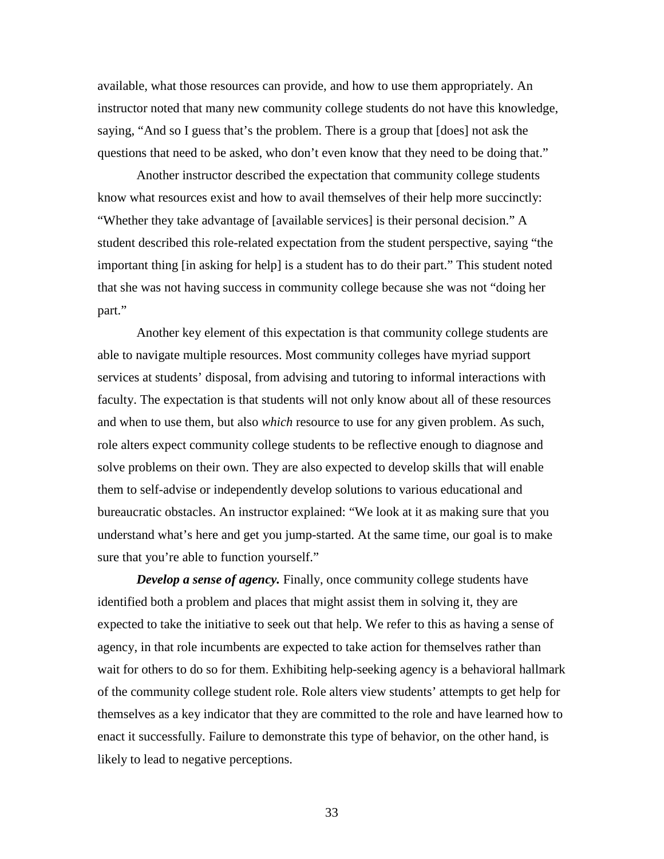available, what those resources can provide, and how to use them appropriately. An instructor noted that many new community college students do not have this knowledge, saying, "And so I guess that's the problem. There is a group that [does] not ask the questions that need to be asked, who don't even know that they need to be doing that."

Another instructor described the expectation that community college students know what resources exist and how to avail themselves of their help more succinctly: "Whether they take advantage of [available services] is their personal decision." A student described this role-related expectation from the student perspective, saying "the important thing [in asking for help] is a student has to do their part." This student noted that she was not having success in community college because she was not "doing her part."

Another key element of this expectation is that community college students are able to navigate multiple resources. Most community colleges have myriad support services at students' disposal, from advising and tutoring to informal interactions with faculty. The expectation is that students will not only know about all of these resources and when to use them, but also *which* resource to use for any given problem. As such, role alters expect community college students to be reflective enough to diagnose and solve problems on their own. They are also expected to develop skills that will enable them to self-advise or independently develop solutions to various educational and bureaucratic obstacles. An instructor explained: "We look at it as making sure that you understand what's here and get you jump-started. At the same time, our goal is to make sure that you're able to function yourself."

*Develop a sense of agency*. Finally, once community college students have identified both a problem and places that might assist them in solving it, they are expected to take the initiative to seek out that help. We refer to this as having a sense of agency, in that role incumbents are expected to take action for themselves rather than wait for others to do so for them. Exhibiting help-seeking agency is a behavioral hallmark of the community college student role. Role alters view students' attempts to get help for themselves as a key indicator that they are committed to the role and have learned how to enact it successfully. Failure to demonstrate this type of behavior, on the other hand, is likely to lead to negative perceptions.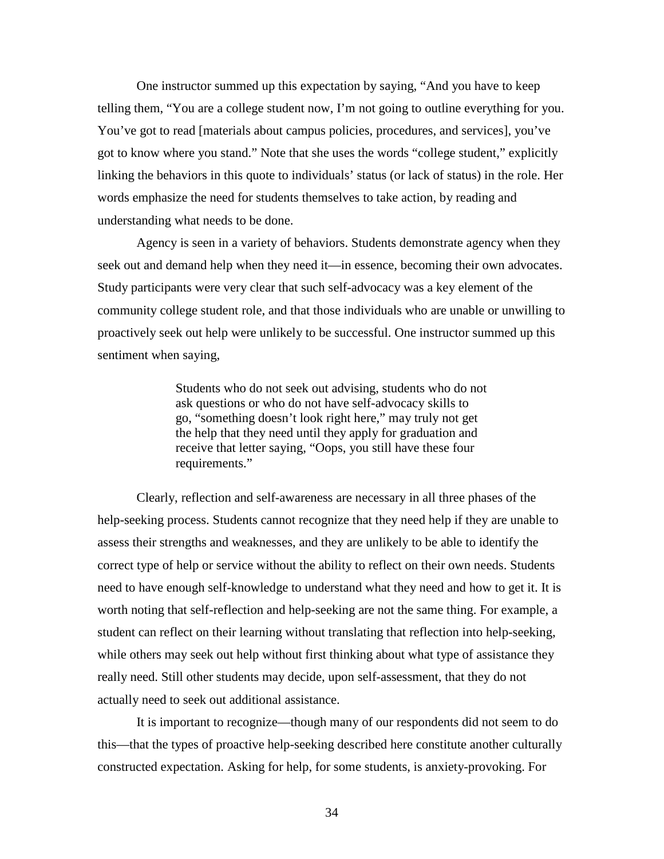One instructor summed up this expectation by saying, "And you have to keep telling them, "You are a college student now, I'm not going to outline everything for you. You've got to read [materials about campus policies, procedures, and services], you've got to know where you stand." Note that she uses the words "college student," explicitly linking the behaviors in this quote to individuals' status (or lack of status) in the role. Her words emphasize the need for students themselves to take action, by reading and understanding what needs to be done.

Agency is seen in a variety of behaviors. Students demonstrate agency when they seek out and demand help when they need it—in essence, becoming their own advocates. Study participants were very clear that such self-advocacy was a key element of the community college student role, and that those individuals who are unable or unwilling to proactively seek out help were unlikely to be successful. One instructor summed up this sentiment when saying,

> Students who do not seek out advising, students who do not ask questions or who do not have self-advocacy skills to go, "something doesn't look right here," may truly not get the help that they need until they apply for graduation and receive that letter saying, "Oops, you still have these four requirements."

Clearly, reflection and self-awareness are necessary in all three phases of the help-seeking process. Students cannot recognize that they need help if they are unable to assess their strengths and weaknesses, and they are unlikely to be able to identify the correct type of help or service without the ability to reflect on their own needs. Students need to have enough self-knowledge to understand what they need and how to get it. It is worth noting that self-reflection and help-seeking are not the same thing. For example, a student can reflect on their learning without translating that reflection into help-seeking, while others may seek out help without first thinking about what type of assistance they really need. Still other students may decide, upon self-assessment, that they do not actually need to seek out additional assistance.

It is important to recognize—though many of our respondents did not seem to do this—that the types of proactive help-seeking described here constitute another culturally constructed expectation. Asking for help, for some students, is anxiety-provoking. For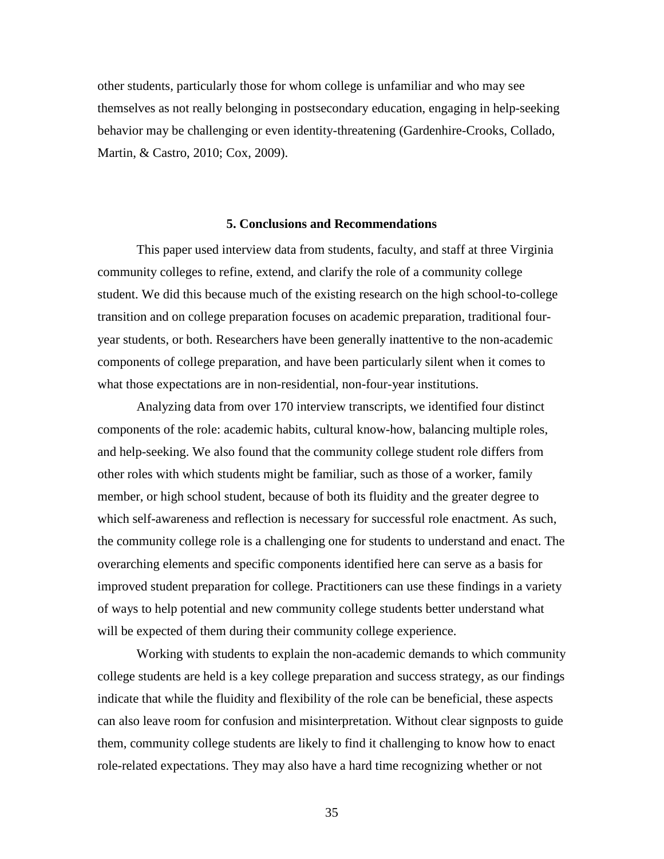other students, particularly those for whom college is unfamiliar and who may see themselves as not really belonging in postsecondary education, engaging in help-seeking behavior may be challenging or even identity-threatening (Gardenhire-Crooks, Collado, Martin, & Castro, 2010; Cox, 2009).

#### **5. Conclusions and Recommendations**

<span id="page-38-0"></span>This paper used interview data from students, faculty, and staff at three Virginia community colleges to refine, extend, and clarify the role of a community college student. We did this because much of the existing research on the high school-to-college transition and on college preparation focuses on academic preparation, traditional fouryear students, or both. Researchers have been generally inattentive to the non-academic components of college preparation, and have been particularly silent when it comes to what those expectations are in non-residential, non-four-year institutions.

Analyzing data from over 170 interview transcripts, we identified four distinct components of the role: academic habits, cultural know-how, balancing multiple roles, and help-seeking. We also found that the community college student role differs from other roles with which students might be familiar, such as those of a worker, family member, or high school student, because of both its fluidity and the greater degree to which self-awareness and reflection is necessary for successful role enactment. As such, the community college role is a challenging one for students to understand and enact. The overarching elements and specific components identified here can serve as a basis for improved student preparation for college. Practitioners can use these findings in a variety of ways to help potential and new community college students better understand what will be expected of them during their community college experience.

Working with students to explain the non-academic demands to which community college students are held is a key college preparation and success strategy, as our findings indicate that while the fluidity and flexibility of the role can be beneficial, these aspects can also leave room for confusion and misinterpretation. Without clear signposts to guide them, community college students are likely to find it challenging to know how to enact role-related expectations. They may also have a hard time recognizing whether or not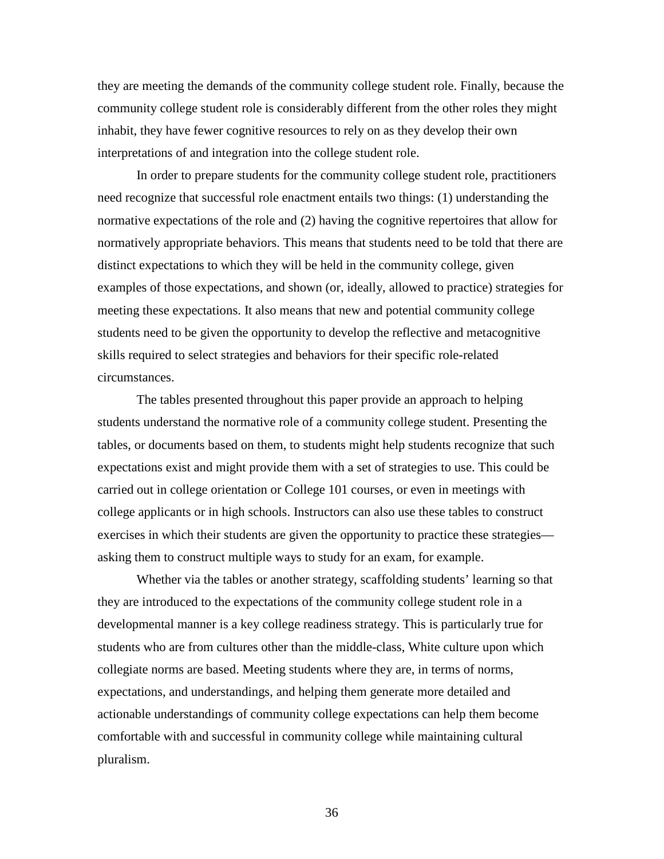they are meeting the demands of the community college student role. Finally, because the community college student role is considerably different from the other roles they might inhabit, they have fewer cognitive resources to rely on as they develop their own interpretations of and integration into the college student role.

In order to prepare students for the community college student role, practitioners need recognize that successful role enactment entails two things: (1) understanding the normative expectations of the role and (2) having the cognitive repertoires that allow for normatively appropriate behaviors. This means that students need to be told that there are distinct expectations to which they will be held in the community college, given examples of those expectations, and shown (or, ideally, allowed to practice) strategies for meeting these expectations. It also means that new and potential community college students need to be given the opportunity to develop the reflective and metacognitive skills required to select strategies and behaviors for their specific role-related circumstances.

The tables presented throughout this paper provide an approach to helping students understand the normative role of a community college student. Presenting the tables, or documents based on them, to students might help students recognize that such expectations exist and might provide them with a set of strategies to use. This could be carried out in college orientation or College 101 courses, or even in meetings with college applicants or in high schools. Instructors can also use these tables to construct exercises in which their students are given the opportunity to practice these strategies asking them to construct multiple ways to study for an exam, for example.

Whether via the tables or another strategy, scaffolding students' learning so that they are introduced to the expectations of the community college student role in a developmental manner is a key college readiness strategy. This is particularly true for students who are from cultures other than the middle-class, White culture upon which collegiate norms are based. Meeting students where they are, in terms of norms, expectations, and understandings, and helping them generate more detailed and actionable understandings of community college expectations can help them become comfortable with and successful in community college while maintaining cultural pluralism.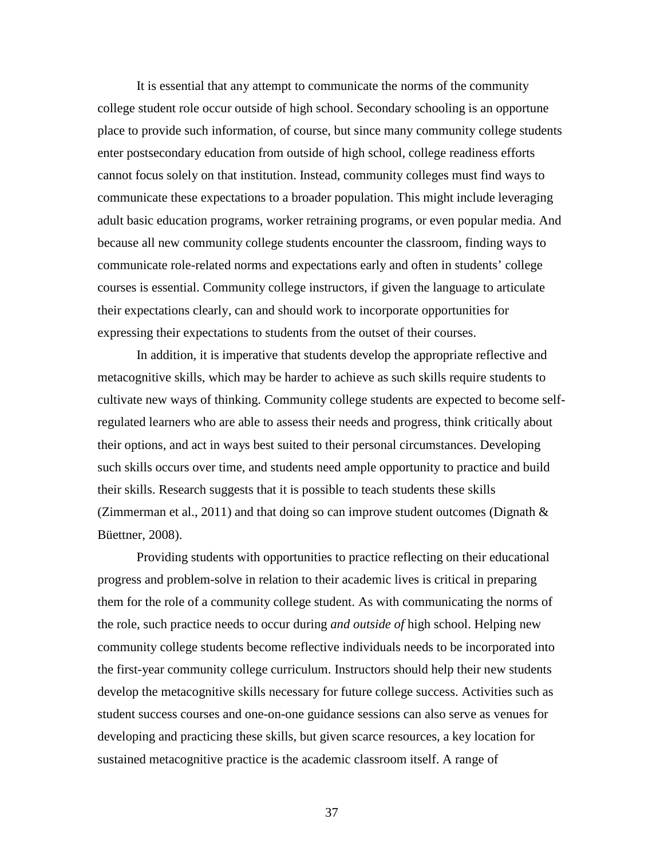It is essential that any attempt to communicate the norms of the community college student role occur outside of high school. Secondary schooling is an opportune place to provide such information, of course, but since many community college students enter postsecondary education from outside of high school, college readiness efforts cannot focus solely on that institution. Instead, community colleges must find ways to communicate these expectations to a broader population. This might include leveraging adult basic education programs, worker retraining programs, or even popular media. And because all new community college students encounter the classroom, finding ways to communicate role-related norms and expectations early and often in students' college courses is essential. Community college instructors, if given the language to articulate their expectations clearly, can and should work to incorporate opportunities for expressing their expectations to students from the outset of their courses.

In addition, it is imperative that students develop the appropriate reflective and metacognitive skills, which may be harder to achieve as such skills require students to cultivate new ways of thinking. Community college students are expected to become selfregulated learners who are able to assess their needs and progress, think critically about their options, and act in ways best suited to their personal circumstances. Developing such skills occurs over time, and students need ample opportunity to practice and build their skills. Research suggests that it is possible to teach students these skills (Zimmerman et al., 2011) and that doing so can improve student outcomes (Dignath  $\&$ Büettner, 2008).

Providing students with opportunities to practice reflecting on their educational progress and problem-solve in relation to their academic lives is critical in preparing them for the role of a community college student. As with communicating the norms of the role, such practice needs to occur during *and outside of* high school. Helping new community college students become reflective individuals needs to be incorporated into the first-year community college curriculum. Instructors should help their new students develop the metacognitive skills necessary for future college success. Activities such as student success courses and one-on-one guidance sessions can also serve as venues for developing and practicing these skills, but given scarce resources, a key location for sustained metacognitive practice is the academic classroom itself. A range of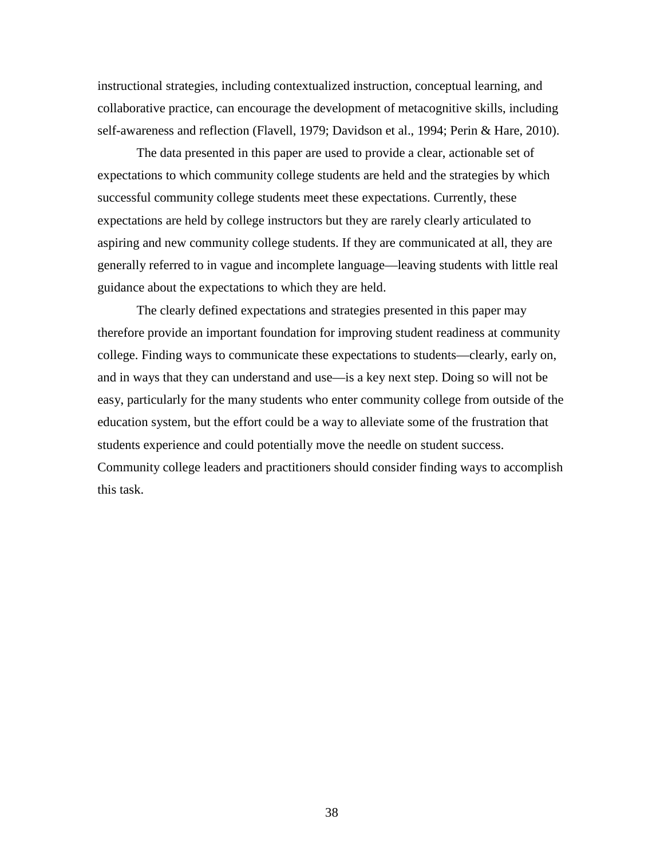instructional strategies, including contextualized instruction, conceptual learning, and collaborative practice, can encourage the development of metacognitive skills, including self-awareness and reflection (Flavell, 1979; Davidson et al., 1994; Perin & Hare, 2010).

The data presented in this paper are used to provide a clear, actionable set of expectations to which community college students are held and the strategies by which successful community college students meet these expectations. Currently, these expectations are held by college instructors but they are rarely clearly articulated to aspiring and new community college students. If they are communicated at all, they are generally referred to in vague and incomplete language—leaving students with little real guidance about the expectations to which they are held.

The clearly defined expectations and strategies presented in this paper may therefore provide an important foundation for improving student readiness at community college. Finding ways to communicate these expectations to students—clearly, early on, and in ways that they can understand and use—is a key next step. Doing so will not be easy, particularly for the many students who enter community college from outside of the education system, but the effort could be a way to alleviate some of the frustration that students experience and could potentially move the needle on student success. Community college leaders and practitioners should consider finding ways to accomplish this task.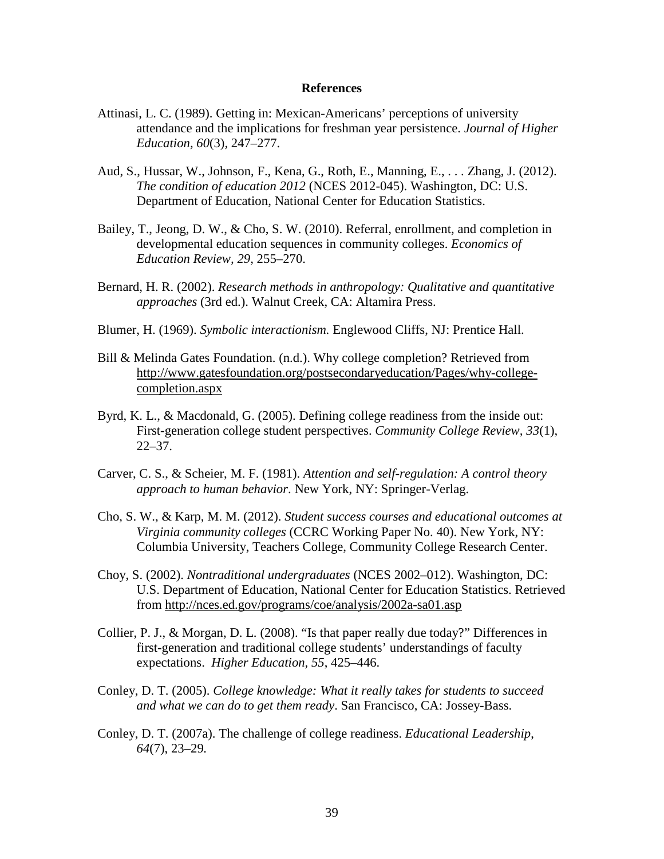#### **References**

- <span id="page-42-0"></span>Attinasi, L. C. (1989). Getting in: Mexican-Americans' perceptions of university attendance and the implications for freshman year persistence. *Journal of Higher Education, 60*(3)*,* 247–277.
- Aud, S., Hussar, W., Johnson, F., Kena, G., Roth, E., Manning, E., . . . Zhang, J. (2012). *The condition of education 2012* (NCES 2012-045). Washington, DC: U.S. Department of Education, National Center for Education Statistics.
- Bailey, T., Jeong, D. W., & Cho, S. W. (2010). Referral, enrollment, and completion in developmental education sequences in community colleges. *Economics of Education Review, 29,* 255–270.
- Bernard, H. R. (2002). *Research methods in anthropology: Qualitative and quantitative approaches* (3rd ed.). Walnut Creek, CA: Altamira Press.
- Blumer, H. (1969). *Symbolic interactionism.* Englewood Cliffs, NJ: Prentice Hall.
- Bill & Melinda Gates Foundation. (n.d.). Why college completion? Retrieved from [http://www.gatesfoundation.org/postsecondaryeducation/Pages/why-college](http://www.gatesfoundation.org/postsecondaryeducation/Pages/why-college-completion.aspx)[completion.aspx](http://www.gatesfoundation.org/postsecondaryeducation/Pages/why-college-completion.aspx)
- Byrd, K. L., & Macdonald, G. (2005). Defining college readiness from the inside out: First-generation college student perspectives. *Community College Review, 33*(1),  $22 - 37$ .
- Carver, C. S., & Scheier, M. F. (1981). *Attention and self-regulation: A control theory approach to human behavior*. New York, NY: Springer-Verlag.
- Cho, S. W., & Karp, M. M. (2012). *Student success courses and educational outcomes at Virginia community colleges* (CCRC Working Paper No. 40). New York, NY: Columbia University, Teachers College, Community College Research Center.
- Choy, S. (2002). *Nontraditional undergraduates* (NCES 2002–012). Washington, DC: U.S. Department of Education, National Center for Education Statistics. Retrieved from<http://nces.ed.gov/programs/coe/analysis/2002a-sa01.asp>
- Collier, P. J., & Morgan, D. L. (2008). "Is that paper really due today?" Differences in first-generation and traditional college students' understandings of faculty expectations. *Higher Education, 55*, 425–446.
- Conley, D. T. (2005). *College knowledge: What it really takes for students to succeed and what we can do to get them ready*. San Francisco, CA: Jossey-Bass.
- Conley, D. T. (2007a). The challenge of college readiness. *Educational Leadership*, *64*(7), 23–29*.*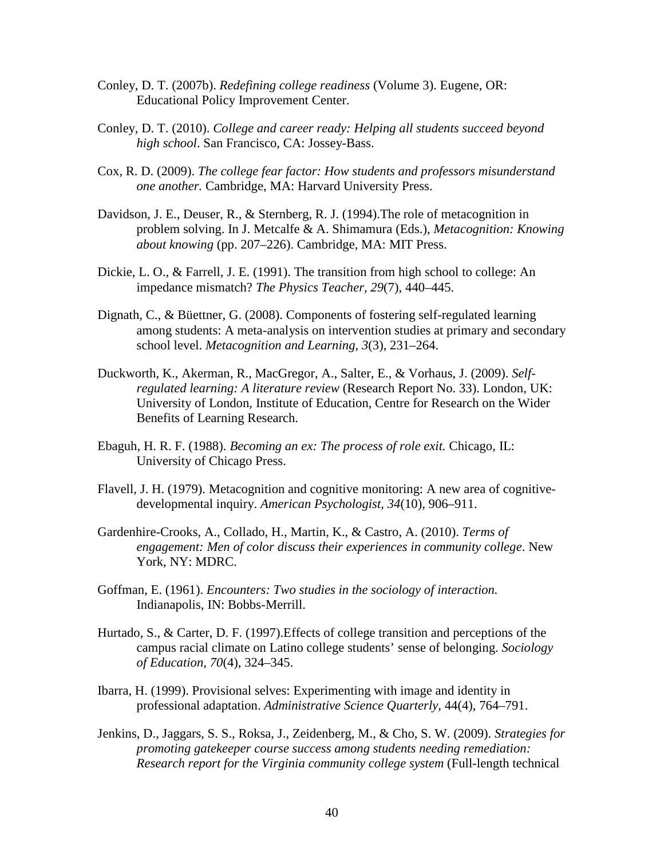- Conley, D. T. (2007b). *Redefining college readiness* (Volume 3). Eugene, OR: Educational Policy Improvement Center.
- Conley, D. T. (2010). *College and career ready: Helping all students succeed beyond high school*. San Francisco, CA: Jossey-Bass.
- Cox, R. D. (2009). *The college fear factor: How students and professors misunderstand one another.* Cambridge, MA: Harvard University Press.
- Davidson, J. E., Deuser, R., & Sternberg, R. J. (1994).The role of metacognition in problem solving. In J. Metcalfe & A. Shimamura (Eds.), *Metacognition: Knowing about knowing* (pp. 207–226). Cambridge, MA: MIT Press.
- Dickie, L. O., & Farrell, J. E. (1991). The transition from high school to college: An impedance mismatch? *The Physics Teacher, 29*(7), 440–445.
- Dignath, C., & Büettner, G. (2008). Components of fostering self-regulated learning among students: A meta-analysis on intervention studies at primary and secondary school level. *Metacognition and Learning*, *3*(3), 231–264.
- Duckworth, K., Akerman, R., MacGregor, A., Salter, E., & Vorhaus, J. (2009). *Selfregulated learning: A literature review* (Research Report No. 33). London, UK: University of London, Institute of Education, Centre for Research on the Wider Benefits of Learning Research.
- Ebaguh, H. R. F. (1988). *Becoming an ex: The process of role exit.* Chicago, IL: University of Chicago Press.
- Flavell, J. H. (1979). Metacognition and cognitive monitoring: A new area of cognitivedevelopmental inquiry. *American Psychologist*, *34*(10)*,* 906–911.
- Gardenhire-Crooks, A., Collado, H., Martin, K., & Castro, A. (2010). *Terms of engagement: Men of color discuss their experiences in community college*. New York, NY: MDRC.
- Goffman, E. (1961). *Encounters: Two studies in the sociology of interaction.* Indianapolis, IN: Bobbs-Merrill.
- Hurtado, S., & Carter, D. F. (1997).Effects of college transition and perceptions of the campus racial climate on Latino college students' sense of belonging. *Sociology of Education, 70*(4), 324–345.
- Ibarra, H. (1999). Provisional selves: Experimenting with image and identity in professional adaptation. *Administrative Science Quarterly*, 44(4), 764–791.
- Jenkins, D., Jaggars, S. S., Roksa, J., Zeidenberg, M., & Cho, S. W. (2009). *Strategies for promoting gatekeeper course success among students needing remediation: Research report for the Virginia community college system* (Full-length technical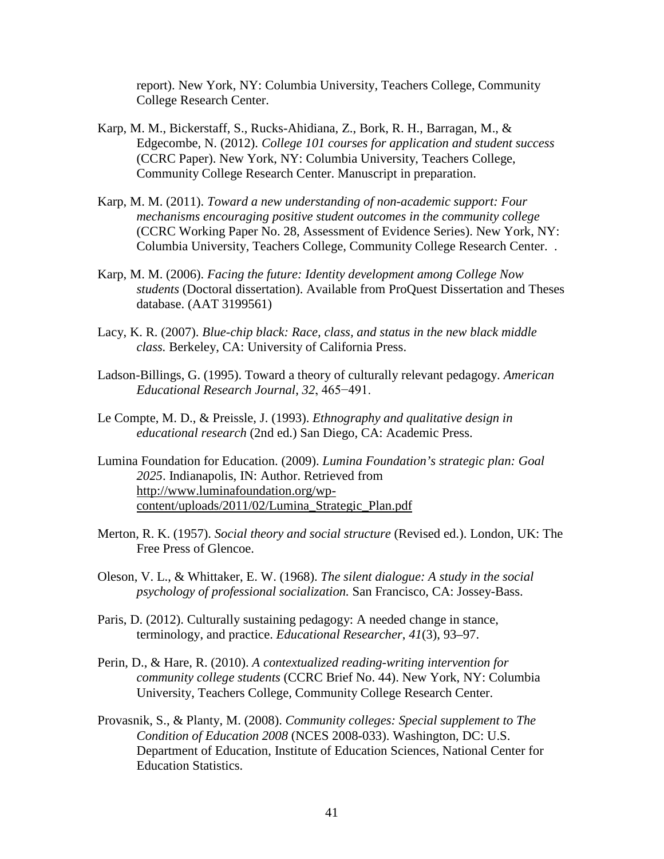report). New York, NY: Columbia University, Teachers College, Community College Research Center.

- Karp, M. M., Bickerstaff, S., Rucks-Ahidiana, Z., Bork, R. H., Barragan, M., & Edgecombe, N. (2012). *College 101 courses for application and student success* (CCRC Paper). New York, NY: Columbia University, Teachers College, Community College Research Center. Manuscript in preparation.
- Karp, M. M. (2011). *Toward a new understanding of non-academic support: Four mechanisms encouraging positive student outcomes in the community college* (CCRC Working Paper No. 28, Assessment of Evidence Series). New York, NY: Columbia University, Teachers College, Community College Research Center. .
- Karp, M. M. (2006). *Facing the future: Identity development among College Now students* (Doctoral dissertation). Available from ProQuest Dissertation and Theses database. (AAT 3199561)
- Lacy, K. R. (2007). *Blue-chip black: Race, class, and status in the new black middle class.* Berkeley, CA: University of California Press.
- Ladson-Billings, G. (1995). Toward a theory of culturally relevant pedagogy. *American Educational Research Journal*, *32*, 465−491.
- Le Compte, M. D., & Preissle, J. (1993). *Ethnography and qualitative design in educational research* (2nd ed.) San Diego, CA: Academic Press.
- Lumina Foundation for Education. (2009). *Lumina Foundation's strategic plan: Goal 2025*. Indianapolis, IN: Author. Retrieved from [http://www.luminafoundation.org/wp](http://www.luminafoundation.org/wp-content/uploads/2011/02/Lumina_Strategic_Plan.pdf)[content/uploads/2011/02/Lumina\\_Strategic\\_Plan.pdf](http://www.luminafoundation.org/wp-content/uploads/2011/02/Lumina_Strategic_Plan.pdf)
- Merton, R. K. (1957). *Social theory and social structure* (Revised ed.). London, UK: The Free Press of Glencoe.
- Oleson, V. L., & Whittaker, E. W. (1968). *The silent dialogue: A study in the social psychology of professional socialization.* San Francisco, CA: Jossey-Bass.
- Paris, D. (2012). Culturally sustaining pedagogy: A needed change in stance, terminology, and practice. *Educational Researcher*, *41*(3), 93–97.
- Perin, D., & Hare, R. (2010). *A contextualized reading-writing intervention for community college students* (CCRC Brief No. 44). New York, NY: Columbia University, Teachers College, Community College Research Center.
- Provasnik, S., & Planty, M. (2008). *Community colleges: Special supplement to The Condition of Education 2008* (NCES 2008-033). Washington, DC: U.S. Department of Education, Institute of Education Sciences, National Center for Education Statistics.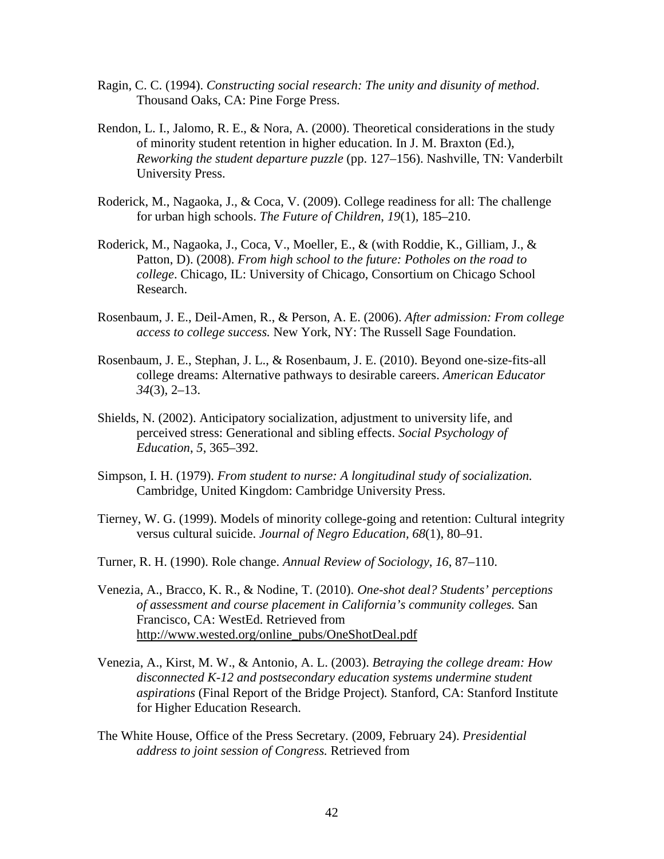- Ragin, C. C. (1994). *Constructing social research: The unity and disunity of method*. Thousand Oaks, CA: Pine Forge Press.
- Rendon, L. I., Jalomo, R. E., & Nora, A. (2000). Theoretical considerations in the study of minority student retention in higher education. In J. M. Braxton (Ed.), *Reworking the student departure puzzle* (pp. 127–156). Nashville, TN: Vanderbilt University Press.
- Roderick, M., Nagaoka, J., & Coca, V. (2009). College readiness for all: The challenge for urban high schools. *The Future of Children*, *19*(1)*,* 185–210.
- Roderick, M., Nagaoka, J., Coca, V., Moeller, E., & (with Roddie, K., Gilliam, J., & Patton, D). (2008). *From high school to the future: Potholes on the road to college*. Chicago, IL: University of Chicago, Consortium on Chicago School Research.
- Rosenbaum, J. E., Deil-Amen, R., & Person, A. E. (2006). *After admission: From college access to college success.* New York, NY: The Russell Sage Foundation.
- Rosenbaum, J. E., Stephan, J. L., & Rosenbaum, J. E. (2010). Beyond one-size-fits-all college dreams: Alternative pathways to desirable careers. *American Educator 34*(3)*,* 2–13.
- Shields, N. (2002). Anticipatory socialization, adjustment to university life, and perceived stress: Generational and sibling effects. *Social Psychology of Education*, *5*, 365–392.
- Simpson, I. H. (1979). *From student to nurse: A longitudinal study of socialization.* Cambridge, United Kingdom: Cambridge University Press.
- Tierney, W. G. (1999). Models of minority college-going and retention: Cultural integrity versus cultural suicide. *Journal of Negro Education, 68*(1), 80–91.
- Turner, R. H. (1990). Role change. *Annual Review of Sociology*, *16*, 87–110.
- Venezia, A., Bracco, K. R., & Nodine, T. (2010). *One-shot deal? Students' perceptions of assessment and course placement in California's community colleges.* San Francisco, CA: WestEd. Retrieved from [http://www.wested.org/online\\_pubs/OneShotDeal.pdf](http://www.wested.org/online_pubs/OneShotDeal.pdf)
- Venezia, A., Kirst, M. W., & Antonio, A. L. (2003). *Betraying the college dream: How disconnected K-12 and postsecondary education systems undermine student aspirations* (Final Report of the Bridge Project)*.* Stanford, CA: Stanford Institute for Higher Education Research.
- The White House, Office of the Press Secretary. (2009, February 24). *Presidential address to joint session of Congress.* Retrieved from